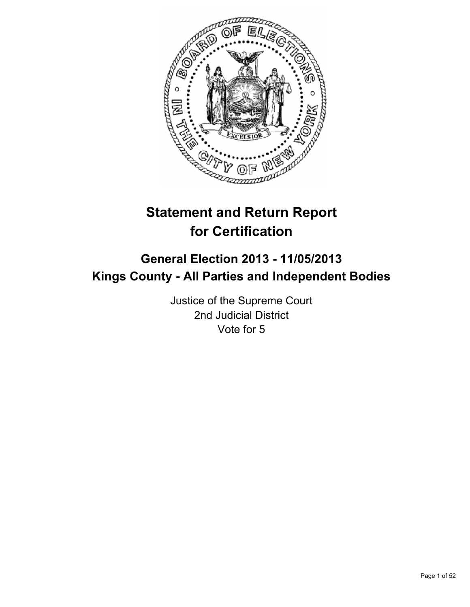

# **Statement and Return Report for Certification**

## **General Election 2013 - 11/05/2013 Kings County - All Parties and Independent Bodies**

Justice of the Supreme Court 2nd Judicial District Vote for 5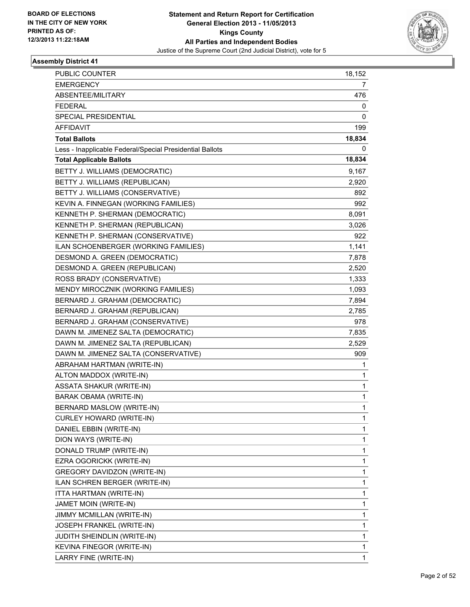

| <b>PUBLIC COUNTER</b>                                    | 18,152 |
|----------------------------------------------------------|--------|
| <b>EMERGENCY</b>                                         | 7      |
| ABSENTEE/MILITARY                                        | 476    |
| <b>FEDERAL</b>                                           | 0      |
| <b>SPECIAL PRESIDENTIAL</b>                              | 0      |
| AFFIDAVIT                                                | 199    |
| <b>Total Ballots</b>                                     | 18,834 |
| Less - Inapplicable Federal/Special Presidential Ballots | 0      |
| <b>Total Applicable Ballots</b>                          | 18,834 |
| BETTY J. WILLIAMS (DEMOCRATIC)                           | 9,167  |
| BETTY J. WILLIAMS (REPUBLICAN)                           | 2,920  |
| BETTY J. WILLIAMS (CONSERVATIVE)                         | 892    |
| KEVIN A. FINNEGAN (WORKING FAMILIES)                     | 992    |
| KENNETH P. SHERMAN (DEMOCRATIC)                          | 8,091  |
| KENNETH P. SHERMAN (REPUBLICAN)                          | 3,026  |
| KENNETH P. SHERMAN (CONSERVATIVE)                        | 922    |
| ILAN SCHOENBERGER (WORKING FAMILIES)                     | 1,141  |
| DESMOND A. GREEN (DEMOCRATIC)                            | 7,878  |
| DESMOND A. GREEN (REPUBLICAN)                            | 2,520  |
| ROSS BRADY (CONSERVATIVE)                                | 1,333  |
| MENDY MIROCZNIK (WORKING FAMILIES)                       | 1,093  |
| BERNARD J. GRAHAM (DEMOCRATIC)                           | 7,894  |
| BERNARD J. GRAHAM (REPUBLICAN)                           | 2,785  |
| BERNARD J. GRAHAM (CONSERVATIVE)                         | 978    |
| DAWN M. JIMENEZ SALTA (DEMOCRATIC)                       | 7,835  |
| DAWN M. JIMENEZ SALTA (REPUBLICAN)                       | 2,529  |
| DAWN M. JIMENEZ SALTA (CONSERVATIVE)                     | 909    |
| ABRAHAM HARTMAN (WRITE-IN)                               | 1      |
| ALTON MADDOX (WRITE-IN)                                  | 1      |
| <b>ASSATA SHAKUR (WRITE-IN)</b>                          | 1      |
| <b>BARAK OBAMA (WRITE-IN)</b>                            | 1      |
| BERNARD MASLOW (WRITE-IN)                                | 1      |
| <b>CURLEY HOWARD (WRITE-IN)</b>                          | 1      |
| DANIEL EBBIN (WRITE-IN)                                  | 1      |
| DION WAYS (WRITE-IN)                                     | 1      |
| DONALD TRUMP (WRITE-IN)                                  | 1      |
| EZRA OGORICKK (WRITE-IN)                                 | 1      |
| <b>GREGORY DAVIDZON (WRITE-IN)</b>                       | 1      |
| ILAN SCHREN BERGER (WRITE-IN)                            | 1      |
| ITTA HARTMAN (WRITE-IN)                                  | 1      |
| JAMET MOIN (WRITE-IN)                                    | 1      |
| JIMMY MCMILLAN (WRITE-IN)                                | 1      |
| JOSEPH FRANKEL (WRITE-IN)                                | 1      |
| JUDITH SHEINDLIN (WRITE-IN)                              | 1      |
| KEVINA FINEGOR (WRITE-IN)                                | 1      |
| LARRY FINE (WRITE-IN)                                    | 1      |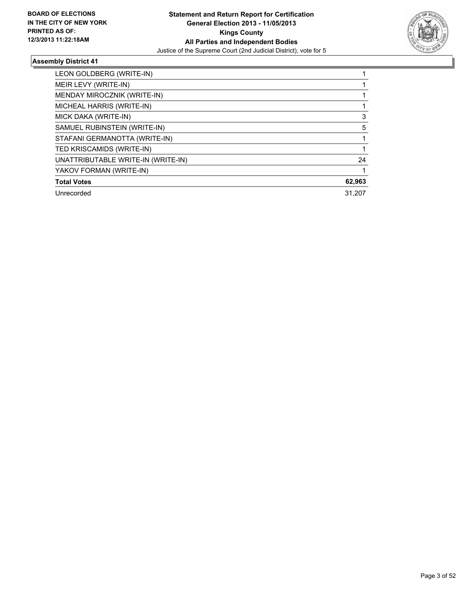

| LEON GOLDBERG (WRITE-IN)           |        |
|------------------------------------|--------|
| MEIR LEVY (WRITE-IN)               |        |
| MENDAY MIROCZNIK (WRITE-IN)        |        |
| MICHEAL HARRIS (WRITE-IN)          |        |
| MICK DAKA (WRITE-IN)               | 3      |
| SAMUEL RUBINSTEIN (WRITE-IN)       | 5      |
| STAFANI GERMANOTTA (WRITE-IN)      |        |
| TED KRISCAMIDS (WRITE-IN)          |        |
| UNATTRIBUTABLE WRITE-IN (WRITE-IN) | 24     |
| YAKOV FORMAN (WRITE-IN)            |        |
| <b>Total Votes</b>                 | 62,963 |
| Unrecorded                         | 31.207 |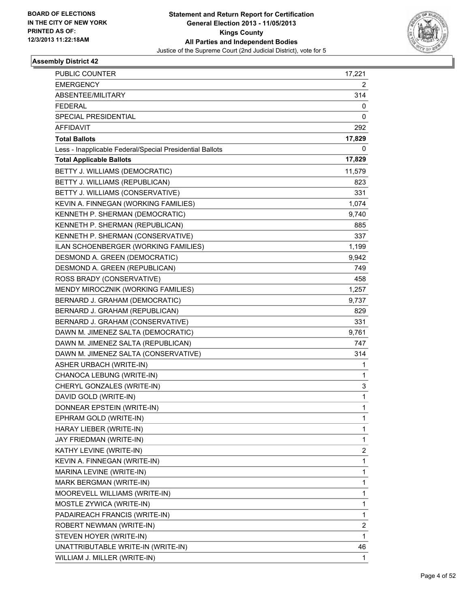

| <b>PUBLIC COUNTER</b>                                    | 17,221 |
|----------------------------------------------------------|--------|
| <b>EMERGENCY</b>                                         | 2      |
| ABSENTEE/MILITARY                                        | 314    |
| <b>FEDERAL</b>                                           | 0      |
| SPECIAL PRESIDENTIAL                                     | 0      |
| AFFIDAVIT                                                | 292    |
| <b>Total Ballots</b>                                     | 17,829 |
| Less - Inapplicable Federal/Special Presidential Ballots | 0      |
| <b>Total Applicable Ballots</b>                          | 17,829 |
| BETTY J. WILLIAMS (DEMOCRATIC)                           | 11,579 |
| BETTY J. WILLIAMS (REPUBLICAN)                           | 823    |
| BETTY J. WILLIAMS (CONSERVATIVE)                         | 331    |
| KEVIN A. FINNEGAN (WORKING FAMILIES)                     | 1,074  |
| KENNETH P. SHERMAN (DEMOCRATIC)                          | 9,740  |
| KENNETH P. SHERMAN (REPUBLICAN)                          | 885    |
| KENNETH P. SHERMAN (CONSERVATIVE)                        | 337    |
| ILAN SCHOENBERGER (WORKING FAMILIES)                     | 1,199  |
| DESMOND A. GREEN (DEMOCRATIC)                            | 9,942  |
| DESMOND A. GREEN (REPUBLICAN)                            | 749    |
| ROSS BRADY (CONSERVATIVE)                                | 458    |
| MENDY MIROCZNIK (WORKING FAMILIES)                       | 1,257  |
| BERNARD J. GRAHAM (DEMOCRATIC)                           | 9,737  |
| BERNARD J. GRAHAM (REPUBLICAN)                           | 829    |
| BERNARD J. GRAHAM (CONSERVATIVE)                         | 331    |
| DAWN M. JIMENEZ SALTA (DEMOCRATIC)                       | 9,761  |
| DAWN M. JIMENEZ SALTA (REPUBLICAN)                       | 747    |
| DAWN M. JIMENEZ SALTA (CONSERVATIVE)                     | 314    |
| ASHER URBACH (WRITE-IN)                                  | 1      |
| CHANOCA LEBUNG (WRITE-IN)                                | 1      |
| CHERYL GONZALES (WRITE-IN)                               | 3      |
| DAVID GOLD (WRITE-IN)                                    | 1      |
| DONNEAR EPSTEIN (WRITE-IN)                               | 1      |
| EPHRAM GOLD (WRITE-IN)                                   | 1      |
| HARAY LIEBER (WRITE-IN)                                  | 1      |
| JAY FRIEDMAN (WRITE-IN)                                  | 1      |
| KATHY LEVINE (WRITE-IN)                                  | 2      |
| KEVIN A. FINNEGAN (WRITE-IN)                             | 1      |
| MARINA LEVINE (WRITE-IN)                                 | 1      |
| MARK BERGMAN (WRITE-IN)                                  | 1      |
| MOOREVELL WILLIAMS (WRITE-IN)                            | 1      |
| MOSTLE ZYWICA (WRITE-IN)                                 | 1      |
| PADAIREACH FRANCIS (WRITE-IN)                            | 1      |
| ROBERT NEWMAN (WRITE-IN)                                 | 2      |
| STEVEN HOYER (WRITE-IN)                                  | 1      |
| UNATTRIBUTABLE WRITE-IN (WRITE-IN)                       | 46     |
| WILLIAM J. MILLER (WRITE-IN)                             | 1      |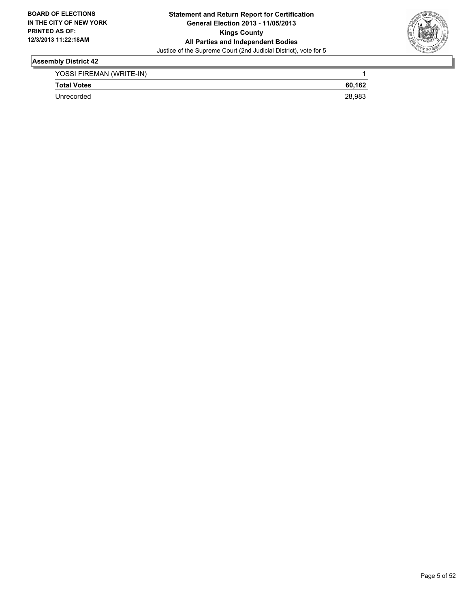

| YOSSI FIREMAN (WRITE-IN) |        |
|--------------------------|--------|
| <b>Total Votes</b>       | 60.162 |
| Unrecorded               | 28.983 |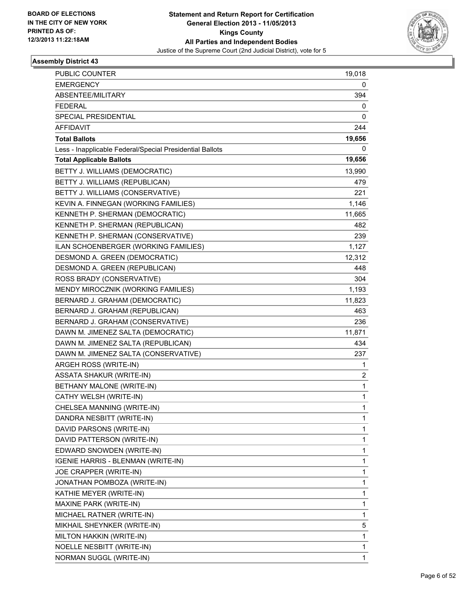

| PUBLIC COUNTER                                           | 19,018 |
|----------------------------------------------------------|--------|
| <b>EMERGENCY</b>                                         | 0      |
| ABSENTEE/MILITARY                                        | 394    |
| <b>FEDERAL</b>                                           | 0      |
| SPECIAL PRESIDENTIAL                                     | 0      |
| AFFIDAVIT                                                | 244    |
| <b>Total Ballots</b>                                     | 19,656 |
| Less - Inapplicable Federal/Special Presidential Ballots | 0      |
| <b>Total Applicable Ballots</b>                          | 19,656 |
| BETTY J. WILLIAMS (DEMOCRATIC)                           | 13,990 |
| BETTY J. WILLIAMS (REPUBLICAN)                           | 479    |
| BETTY J. WILLIAMS (CONSERVATIVE)                         | 221    |
| KEVIN A. FINNEGAN (WORKING FAMILIES)                     | 1,146  |
| KENNETH P. SHERMAN (DEMOCRATIC)                          | 11,665 |
| KENNETH P. SHERMAN (REPUBLICAN)                          | 482    |
| KENNETH P. SHERMAN (CONSERVATIVE)                        | 239    |
| ILAN SCHOENBERGER (WORKING FAMILIES)                     | 1,127  |
| DESMOND A. GREEN (DEMOCRATIC)                            | 12,312 |
| DESMOND A. GREEN (REPUBLICAN)                            | 448    |
| ROSS BRADY (CONSERVATIVE)                                | 304    |
| MENDY MIROCZNIK (WORKING FAMILIES)                       | 1,193  |
| BERNARD J. GRAHAM (DEMOCRATIC)                           | 11,823 |
| BERNARD J. GRAHAM (REPUBLICAN)                           | 463    |
| BERNARD J. GRAHAM (CONSERVATIVE)                         | 236    |
| DAWN M. JIMENEZ SALTA (DEMOCRATIC)                       | 11,871 |
| DAWN M. JIMENEZ SALTA (REPUBLICAN)                       | 434    |
| DAWN M. JIMENEZ SALTA (CONSERVATIVE)                     | 237    |
| ARGEH ROSS (WRITE-IN)                                    | 1      |
| <b>ASSATA SHAKUR (WRITE-IN)</b>                          | 2      |
| BETHANY MALONE (WRITE-IN)                                | 1      |
| CATHY WELSH (WRITE-IN)                                   | 1      |
| CHELSEA MANNING (WRITE-IN)                               | 1      |
| DANDRA NESBITT (WRITE-IN)                                | 1      |
| DAVID PARSONS (WRITE-IN)                                 | 1      |
| DAVID PATTERSON (WRITE-IN)                               | 1      |
| EDWARD SNOWDEN (WRITE-IN)                                | 1      |
| IGENIE HARRIS - BLENMAN (WRITE-IN)                       | 1      |
| JOE CRAPPER (WRITE-IN)                                   | 1      |
| JONATHAN POMBOZA (WRITE-IN)                              | 1      |
| KATHIE MEYER (WRITE-IN)                                  | 1      |
| MAXINE PARK (WRITE-IN)                                   | 1      |
| MICHAEL RATNER (WRITE-IN)                                | 1      |
| MIKHAIL SHEYNKER (WRITE-IN)                              | 5      |
| MILTON HAKKIN (WRITE-IN)                                 | 1      |
| NOELLE NESBITT (WRITE-IN)                                | 1      |
| NORMAN SUGGL (WRITE-IN)                                  | 1      |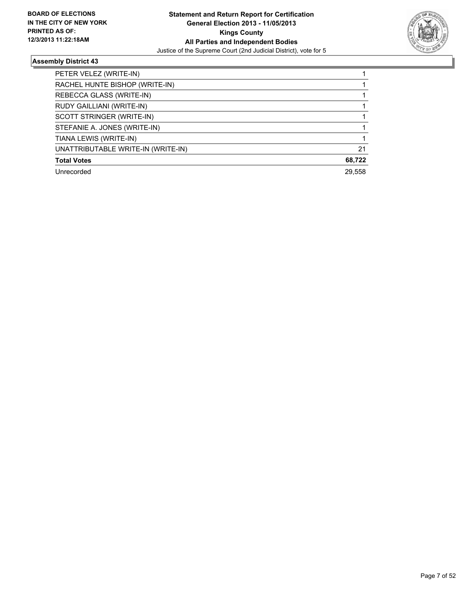

| PETER VELEZ (WRITE-IN)             |        |
|------------------------------------|--------|
| RACHEL HUNTE BISHOP (WRITE-IN)     |        |
| REBECCA GLASS (WRITE-IN)           |        |
| RUDY GAILLIANI (WRITE-IN)          |        |
| SCOTT STRINGER (WRITE-IN)          |        |
| STEFANIE A. JONES (WRITE-IN)       |        |
| TIANA LEWIS (WRITE-IN)             |        |
| UNATTRIBUTABLE WRITE-IN (WRITE-IN) | 21     |
| <b>Total Votes</b>                 | 68,722 |
| Unrecorded                         | 29.558 |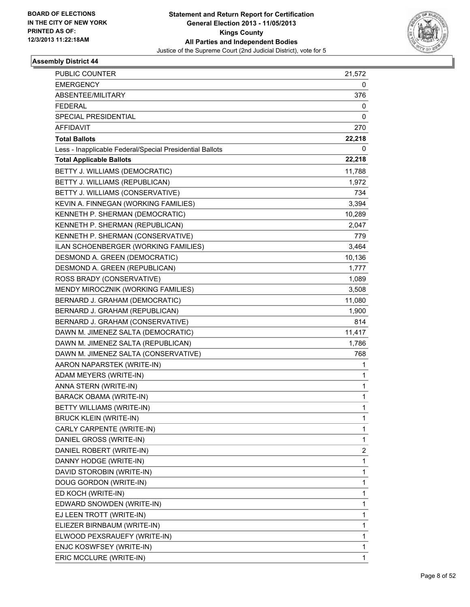

| <b>PUBLIC COUNTER</b>                                    | 21,572 |
|----------------------------------------------------------|--------|
| <b>EMERGENCY</b>                                         | 0      |
| ABSENTEE/MILITARY                                        | 376    |
| <b>FEDERAL</b>                                           | 0      |
| SPECIAL PRESIDENTIAL                                     | 0      |
| AFFIDAVIT                                                | 270    |
| <b>Total Ballots</b>                                     | 22,218 |
| Less - Inapplicable Federal/Special Presidential Ballots | 0      |
| <b>Total Applicable Ballots</b>                          | 22,218 |
| BETTY J. WILLIAMS (DEMOCRATIC)                           | 11,788 |
| BETTY J. WILLIAMS (REPUBLICAN)                           | 1,972  |
| BETTY J. WILLIAMS (CONSERVATIVE)                         | 734    |
| KEVIN A. FINNEGAN (WORKING FAMILIES)                     | 3,394  |
| KENNETH P. SHERMAN (DEMOCRATIC)                          | 10,289 |
| KENNETH P. SHERMAN (REPUBLICAN)                          | 2,047  |
| KENNETH P. SHERMAN (CONSERVATIVE)                        | 779    |
| ILAN SCHOENBERGER (WORKING FAMILIES)                     | 3,464  |
| DESMOND A. GREEN (DEMOCRATIC)                            | 10,136 |
| DESMOND A. GREEN (REPUBLICAN)                            | 1,777  |
| ROSS BRADY (CONSERVATIVE)                                | 1,089  |
| MENDY MIROCZNIK (WORKING FAMILIES)                       | 3,508  |
| BERNARD J. GRAHAM (DEMOCRATIC)                           | 11,080 |
| BERNARD J. GRAHAM (REPUBLICAN)                           | 1,900  |
| BERNARD J. GRAHAM (CONSERVATIVE)                         | 814    |
| DAWN M. JIMENEZ SALTA (DEMOCRATIC)                       | 11,417 |
| DAWN M. JIMENEZ SALTA (REPUBLICAN)                       | 1,786  |
| DAWN M. JIMENEZ SALTA (CONSERVATIVE)                     | 768    |
| AARON NAPARSTEK (WRITE-IN)                               | 1      |
| ADAM MEYERS (WRITE-IN)                                   | 1      |
| ANNA STERN (WRITE-IN)                                    | 1      |
| <b>BARACK OBAMA (WRITE-IN)</b>                           | 1      |
| BETTY WILLIAMS (WRITE-IN)                                | 1      |
| <b>BRUCK KLEIN (WRITE-IN)</b>                            | 1      |
| CARLY CARPENTE (WRITE-IN)                                | 1      |
| DANIEL GROSS (WRITE-IN)                                  | 1      |
| DANIEL ROBERT (WRITE-IN)                                 | 2      |
| DANNY HODGE (WRITE-IN)                                   | 1      |
| DAVID STOROBIN (WRITE-IN)                                | 1      |
| DOUG GORDON (WRITE-IN)                                   | 1      |
| ED KOCH (WRITE-IN)                                       | 1      |
| EDWARD SNOWDEN (WRITE-IN)                                | 1      |
| EJ LEEN TROTT (WRITE-IN)                                 | 1      |
| ELIEZER BIRNBAUM (WRITE-IN)                              | 1      |
| ELWOOD PEXSRAUEFY (WRITE-IN)                             | 1      |
| ENJC KOSWFSEY (WRITE-IN)                                 | 1      |
| ERIC MCCLURE (WRITE-IN)                                  | 1      |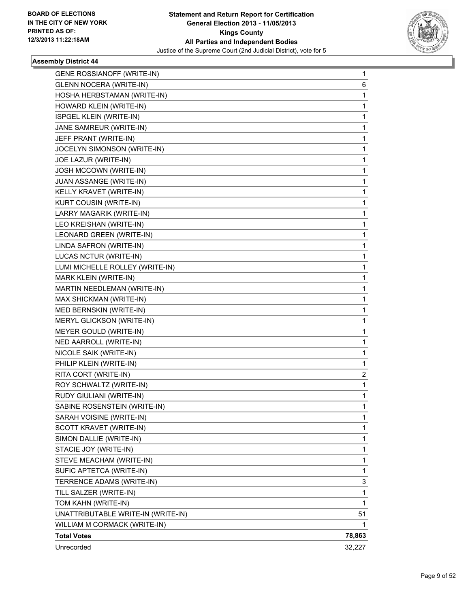

| GENE ROSSIANOFF (WRITE-IN)         | 1      |
|------------------------------------|--------|
| <b>GLENN NOCERA (WRITE-IN)</b>     | 6      |
| HOSHA HERBSTAMAN (WRITE-IN)        | 1      |
| HOWARD KLEIN (WRITE-IN)            | 1      |
| ISPGEL KLEIN (WRITE-IN)            | 1      |
| JANE SAMREUR (WRITE-IN)            | 1      |
| JEFF PRANT (WRITE-IN)              | 1      |
| JOCELYN SIMONSON (WRITE-IN)        | 1      |
| JOE LAZUR (WRITE-IN)               | 1      |
| JOSH MCCOWN (WRITE-IN)             | 1      |
| JUAN ASSANGE (WRITE-IN)            | 1      |
| KELLY KRAVET (WRITE-IN)            | 1      |
| KURT COUSIN (WRITE-IN)             | 1      |
| LARRY MAGARIK (WRITE-IN)           | 1      |
| LEO KREISHAN (WRITE-IN)            | 1      |
| LEONARD GREEN (WRITE-IN)           | 1      |
| LINDA SAFRON (WRITE-IN)            | 1      |
| LUCAS NCTUR (WRITE-IN)             | 1      |
| LUMI MICHELLE ROLLEY (WRITE-IN)    | 1      |
| MARK KLEIN (WRITE-IN)              | 1      |
| MARTIN NEEDLEMAN (WRITE-IN)        | 1      |
| MAX SHICKMAN (WRITE-IN)            | 1      |
| MED BERNSKIN (WRITE-IN)            | 1      |
| MERYL GLICKSON (WRITE-IN)          | 1      |
| MEYER GOULD (WRITE-IN)             | 1      |
| NED AARROLL (WRITE-IN)             | 1      |
| NICOLE SAIK (WRITE-IN)             | 1      |
| PHILIP KLEIN (WRITE-IN)            | 1      |
| RITA CORT (WRITE-IN)               | 2      |
| ROY SCHWALTZ (WRITE-IN)            | 1      |
| RUDY GIULIANI (WRITE-IN)           | 1      |
| SABINE ROSENSTEIN (WRITE-IN)       | 1      |
| SARAH VOISINE (WRITE-IN)           | 1      |
| SCOTT KRAVET (WRITE-IN)            | 1      |
| SIMON DALLIE (WRITE-IN)            | 1      |
| STACIE JOY (WRITE-IN)              | 1      |
| STEVE MEACHAM (WRITE-IN)           | 1      |
| SUFIC APTETCA (WRITE-IN)           | 1      |
| TERRENCE ADAMS (WRITE-IN)          | 3      |
| TILL SALZER (WRITE-IN)             | 1      |
| TOM KAHN (WRITE-IN)                | 1      |
| UNATTRIBUTABLE WRITE-IN (WRITE-IN) | 51     |
| WILLIAM M CORMACK (WRITE-IN)       | 1      |
| <b>Total Votes</b>                 | 78,863 |
| Unrecorded                         | 32,227 |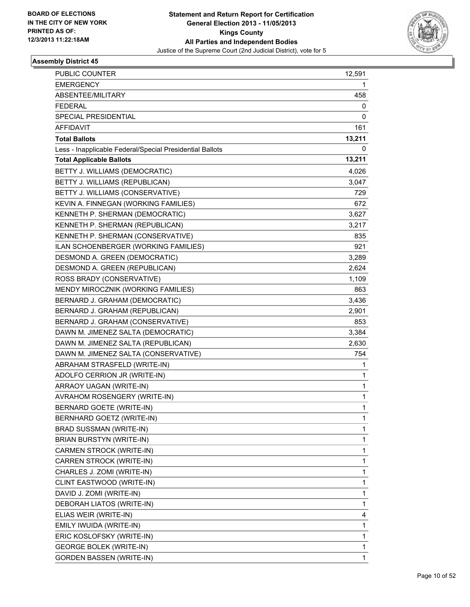

| <b>PUBLIC COUNTER</b>                                    | 12,591 |
|----------------------------------------------------------|--------|
| <b>EMERGENCY</b>                                         | 1      |
| ABSENTEE/MILITARY                                        | 458    |
| <b>FEDERAL</b>                                           | 0      |
| SPECIAL PRESIDENTIAL                                     | 0      |
| AFFIDAVIT                                                | 161    |
| <b>Total Ballots</b>                                     | 13,211 |
| Less - Inapplicable Federal/Special Presidential Ballots | 0      |
| <b>Total Applicable Ballots</b>                          | 13,211 |
| BETTY J. WILLIAMS (DEMOCRATIC)                           | 4,026  |
| BETTY J. WILLIAMS (REPUBLICAN)                           | 3,047  |
| BETTY J. WILLIAMS (CONSERVATIVE)                         | 729    |
| KEVIN A. FINNEGAN (WORKING FAMILIES)                     | 672    |
| KENNETH P. SHERMAN (DEMOCRATIC)                          | 3,627  |
| KENNETH P. SHERMAN (REPUBLICAN)                          | 3,217  |
| KENNETH P. SHERMAN (CONSERVATIVE)                        | 835    |
| ILAN SCHOENBERGER (WORKING FAMILIES)                     | 921    |
| DESMOND A. GREEN (DEMOCRATIC)                            | 3,289  |
| DESMOND A. GREEN (REPUBLICAN)                            | 2,624  |
| ROSS BRADY (CONSERVATIVE)                                | 1,109  |
| MENDY MIROCZNIK (WORKING FAMILIES)                       | 863    |
| BERNARD J. GRAHAM (DEMOCRATIC)                           | 3,436  |
| BERNARD J. GRAHAM (REPUBLICAN)                           | 2,901  |
| BERNARD J. GRAHAM (CONSERVATIVE)                         | 853    |
| DAWN M. JIMENEZ SALTA (DEMOCRATIC)                       | 3,384  |
| DAWN M. JIMENEZ SALTA (REPUBLICAN)                       | 2,630  |
| DAWN M. JIMENEZ SALTA (CONSERVATIVE)                     | 754    |
| ABRAHAM STRASFELD (WRITE-IN)                             | 1      |
| ADOLFO CERRION JR (WRITE-IN)                             | 1      |
| ARRAOY UAGAN (WRITE-IN)                                  | 1      |
| AVRAHOM ROSENGERY (WRITE-IN)                             | 1      |
| BERNARD GOETE (WRITE-IN)                                 | 1      |
| BERNHARD GOETZ (WRITE-IN)                                | 1      |
| BRAD SUSSMAN (WRITE-IN)                                  | 1      |
| BRIAN BURSTYN (WRITE-IN)                                 | 1      |
| CARMEN STROCK (WRITE-IN)                                 | 1      |
| CARREN STROCK (WRITE-IN)                                 | 1      |
| CHARLES J. ZOMI (WRITE-IN)                               | 1      |
| CLINT EASTWOOD (WRITE-IN)                                | 1      |
| DAVID J. ZOMI (WRITE-IN)                                 | 1      |
|                                                          | 1      |
| DEBORAH LIATOS (WRITE-IN)<br>ELIAS WEIR (WRITE-IN)       | 4      |
|                                                          | 1      |
| EMILY IWUIDA (WRITE-IN)                                  |        |
| ERIC KOSLOFSKY (WRITE-IN)                                | 1      |
| <b>GEORGE BOLEK (WRITE-IN)</b>                           | 1      |
| <b>GORDEN BASSEN (WRITE-IN)</b>                          | 1      |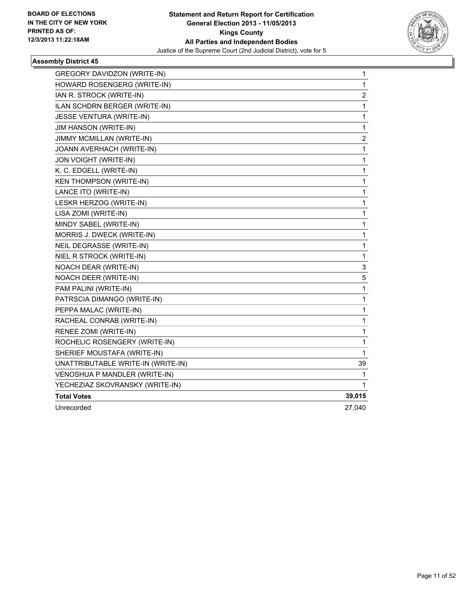

| GREGORY DAVIDZON (WRITE-IN)        | 1      |
|------------------------------------|--------|
| HOWARD ROSENGERG (WRITE-IN)        | 1      |
| IAN R. STROCK (WRITE-IN)           | 2      |
| ILAN SCHDRN BERGER (WRITE-IN)      | 1      |
| JESSE VENTURA (WRITE-IN)           | 1      |
| JIM HANSON (WRITE-IN)              | 1      |
| <b>JIMMY MCMILLAN (WRITE-IN)</b>   | 2      |
| JOANN AVERHACH (WRITE-IN)          | 1      |
| JON VOIGHT (WRITE-IN)              | 1      |
| K. C. EDGELL (WRITE-IN)            | 1      |
| <b>KEN THOMPSON (WRITE-IN)</b>     | 1      |
| LANCE ITO (WRITE-IN)               | 1      |
| LESKR HERZOG (WRITE-IN)            | 1      |
| LISA ZOMI (WRITE-IN)               | 1      |
| MINDY SABEL (WRITE-IN)             | 1      |
| MORRIS J. DWECK (WRITE-IN)         | 1      |
| NEIL DEGRASSE (WRITE-IN)           | 1      |
| NIEL R STROCK (WRITE-IN)           | 1      |
| NOACH DEAR (WRITE-IN)              | 3      |
| NOACH DEER (WRITE-IN)              | 5      |
| PAM PALINI (WRITE-IN)              | 1      |
| PATRSCIA DIMANGO (WRITE-IN)        | 1      |
| PEPPA MALAC (WRITE-IN)             | 1      |
| RACHEAL CONRAB (WRITE-IN)          | 1      |
| RENEE ZOMI (WRITE-IN)              | 1      |
| ROCHELIC ROSENGERY (WRITE-IN)      | 1      |
| SHERIEF MOUSTAFA (WRITE-IN)        | 1      |
| UNATTRIBUTABLE WRITE-IN (WRITE-IN) | 39     |
| VENOSHUA P MANDLER (WRITE-IN)      | 1      |
| YECHEZIAZ SKOVRANSKY (WRITE-IN)    | 1      |
| <b>Total Votes</b>                 | 39,015 |
| Unrecorded                         | 27,040 |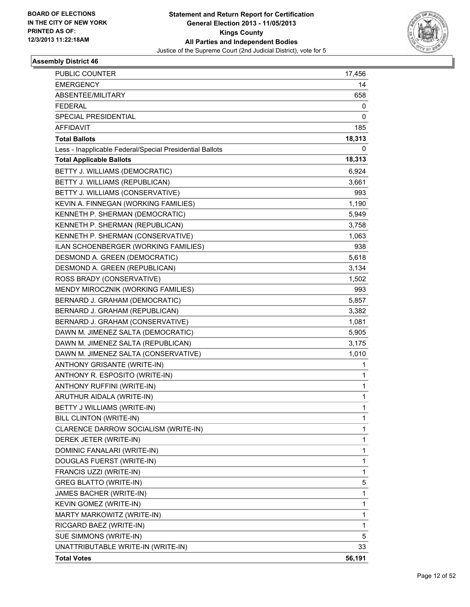

| <b>PUBLIC COUNTER</b>                                    | 17,456 |
|----------------------------------------------------------|--------|
| <b>EMERGENCY</b>                                         | 14     |
| ABSENTEE/MILITARY                                        | 658    |
| <b>FEDERAL</b>                                           | 0      |
| SPECIAL PRESIDENTIAL                                     | 0      |
| AFFIDAVIT                                                | 185    |
| <b>Total Ballots</b>                                     | 18,313 |
| Less - Inapplicable Federal/Special Presidential Ballots | 0      |
| <b>Total Applicable Ballots</b>                          | 18,313 |
| BETTY J. WILLIAMS (DEMOCRATIC)                           | 6,924  |
| BETTY J. WILLIAMS (REPUBLICAN)                           | 3,661  |
| BETTY J. WILLIAMS (CONSERVATIVE)                         | 993    |
| KEVIN A. FINNEGAN (WORKING FAMILIES)                     | 1,190  |
| KENNETH P. SHERMAN (DEMOCRATIC)                          | 5,949  |
| KENNETH P. SHERMAN (REPUBLICAN)                          | 3,758  |
| KENNETH P. SHERMAN (CONSERVATIVE)                        | 1,063  |
| ILAN SCHOENBERGER (WORKING FAMILIES)                     | 938    |
| DESMOND A. GREEN (DEMOCRATIC)                            | 5,618  |
| DESMOND A. GREEN (REPUBLICAN)                            | 3,134  |
| ROSS BRADY (CONSERVATIVE)                                | 1,502  |
| MENDY MIROCZNIK (WORKING FAMILIES)                       | 993    |
| BERNARD J. GRAHAM (DEMOCRATIC)                           | 5,857  |
| BERNARD J. GRAHAM (REPUBLICAN)                           | 3,382  |
| BERNARD J. GRAHAM (CONSERVATIVE)                         | 1,081  |
| DAWN M. JIMENEZ SALTA (DEMOCRATIC)                       | 5,905  |
| DAWN M. JIMENEZ SALTA (REPUBLICAN)                       | 3,175  |
| DAWN M. JIMENEZ SALTA (CONSERVATIVE)                     | 1,010  |
| ANTHONY GRISANTE (WRITE-IN)                              | 1      |
| ANTHONY R. ESPOSITO (WRITE-IN)                           | 1      |
| ANTHONY RUFFINI (WRITE-IN)                               | 1      |
| ARUTHUR AIDALA (WRITE-IN)                                | 1      |
| BETTY J WILLIAMS (WRITE-IN)                              | 1      |
| BILL CLINTON (WRITE-IN)                                  | 1      |
| CLARENCE DARROW SOCIALISM (WRITE-IN)                     | 1      |
| DEREK JETER (WRITE-IN)                                   | 1      |
| DOMINIC FANALARI (WRITE-IN)                              | 1      |
| DOUGLAS FUERST (WRITE-IN)                                | 1      |
| FRANCIS UZZI (WRITE-IN)                                  | 1      |
| <b>GREG BLATTO (WRITE-IN)</b>                            | 5      |
| JAMES BACHER (WRITE-IN)                                  | 1      |
| KEVIN GOMEZ (WRITE-IN)                                   | 1      |
| MARTY MARKOWITZ (WRITE-IN)                               | 1      |
| RICGARD BAEZ (WRITE-IN)                                  | 1      |
| SUE SIMMONS (WRITE-IN)                                   | 5.     |
| UNATTRIBUTABLE WRITE-IN (WRITE-IN)                       | 33     |
| <b>Total Votes</b>                                       | 56,191 |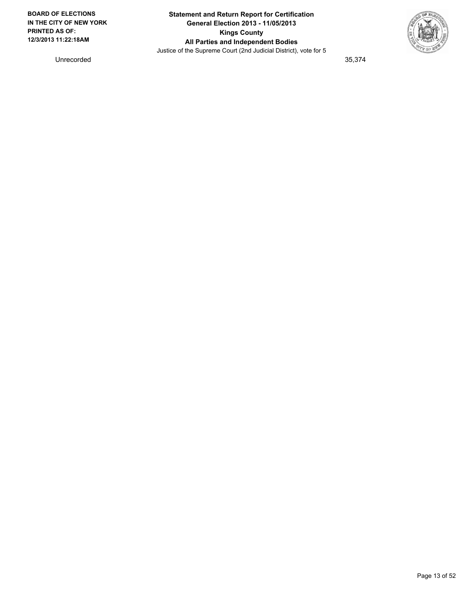

Unrecorded 35,374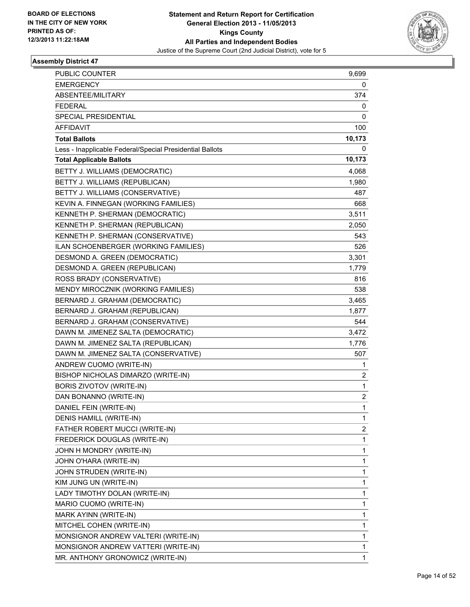

| <b>PUBLIC COUNTER</b>                                    | 9,699  |
|----------------------------------------------------------|--------|
| <b>EMERGENCY</b>                                         | 0      |
| ABSENTEE/MILITARY                                        | 374    |
| <b>FEDERAL</b>                                           | 0      |
| <b>SPECIAL PRESIDENTIAL</b>                              | 0      |
| AFFIDAVIT                                                | 100    |
| <b>Total Ballots</b>                                     | 10,173 |
| Less - Inapplicable Federal/Special Presidential Ballots | 0      |
| <b>Total Applicable Ballots</b>                          | 10,173 |
| BETTY J. WILLIAMS (DEMOCRATIC)                           | 4,068  |
| BETTY J. WILLIAMS (REPUBLICAN)                           | 1,980  |
| BETTY J. WILLIAMS (CONSERVATIVE)                         | 487    |
| KEVIN A. FINNEGAN (WORKING FAMILIES)                     | 668    |
| KENNETH P. SHERMAN (DEMOCRATIC)                          | 3,511  |
| KENNETH P. SHERMAN (REPUBLICAN)                          | 2,050  |
| KENNETH P. SHERMAN (CONSERVATIVE)                        | 543    |
| ILAN SCHOENBERGER (WORKING FAMILIES)                     | 526    |
| DESMOND A. GREEN (DEMOCRATIC)                            | 3,301  |
| DESMOND A. GREEN (REPUBLICAN)                            | 1,779  |
| ROSS BRADY (CONSERVATIVE)                                | 816    |
| MENDY MIROCZNIK (WORKING FAMILIES)                       | 538    |
| BERNARD J. GRAHAM (DEMOCRATIC)                           | 3,465  |
| BERNARD J. GRAHAM (REPUBLICAN)                           | 1,877  |
| BERNARD J. GRAHAM (CONSERVATIVE)                         | 544    |
| DAWN M. JIMENEZ SALTA (DEMOCRATIC)                       | 3,472  |
| DAWN M. JIMENEZ SALTA (REPUBLICAN)                       | 1,776  |
| DAWN M. JIMENEZ SALTA (CONSERVATIVE)                     | 507    |
| ANDREW CUOMO (WRITE-IN)                                  | 1      |
| BISHOP NICHOLAS DIMARZO (WRITE-IN)                       | 2      |
| BORIS ZIVOTOV (WRITE-IN)                                 | 1      |
| DAN BONANNO (WRITE-IN)                                   | 2      |
| DANIEL FEIN (WRITE-IN)                                   | 1      |
| DENIS HAMILL (WRITE-IN)                                  | 1      |
| FATHER ROBERT MUCCI (WRITE-IN)                           | 2      |
| FREDERICK DOUGLAS (WRITE-IN)                             | 1      |
| JOHN H MONDRY (WRITE-IN)                                 | 1      |
| JOHN O'HARA (WRITE-IN)                                   | 1      |
| JOHN STRUDEN (WRITE-IN)                                  | 1      |
| KIM JUNG UN (WRITE-IN)                                   | 1      |
| LADY TIMOTHY DOLAN (WRITE-IN)                            | 1      |
| MARIO CUOMO (WRITE-IN)                                   | 1      |
| MARK AYINN (WRITE-IN)                                    | 1      |
| MITCHEL COHEN (WRITE-IN)                                 | 1      |
| MONSIGNOR ANDREW VALTERI (WRITE-IN)                      | 1      |
| MONSIGNOR ANDREW VATTERI (WRITE-IN)                      | 1      |
| MR. ANTHONY GRONOWICZ (WRITE-IN)                         | 1      |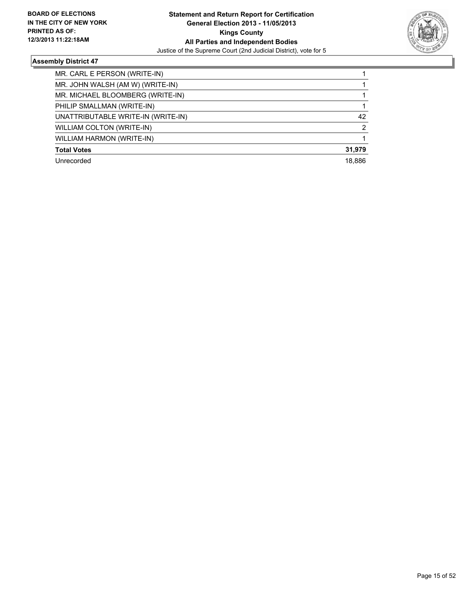

| MR. CARL E PERSON (WRITE-IN)       |        |
|------------------------------------|--------|
| MR. JOHN WALSH (AM W) (WRITE-IN)   |        |
| MR. MICHAEL BLOOMBERG (WRITE-IN)   |        |
| PHILIP SMALLMAN (WRITE-IN)         |        |
| UNATTRIBUTABLE WRITE-IN (WRITE-IN) | 42     |
| WILLIAM COLTON (WRITE-IN)          | 2      |
| WILLIAM HARMON (WRITE-IN)          |        |
| <b>Total Votes</b>                 | 31,979 |
| Unrecorded                         | 18.886 |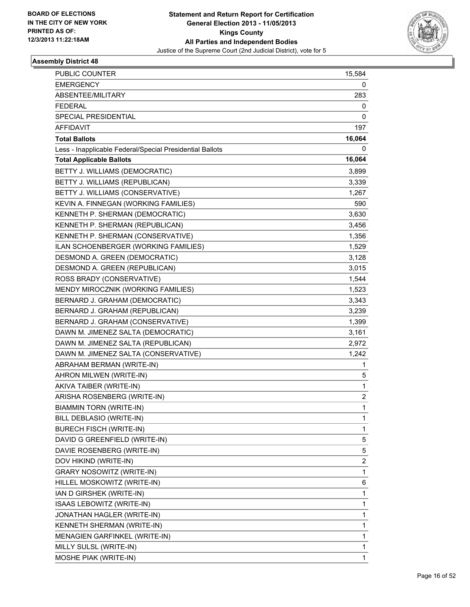

| <b>PUBLIC COUNTER</b>                                    | 15,584 |
|----------------------------------------------------------|--------|
| <b>EMERGENCY</b>                                         | 0      |
| ABSENTEE/MILITARY                                        | 283    |
| <b>FEDERAL</b>                                           | 0      |
| SPECIAL PRESIDENTIAL                                     | 0      |
| AFFIDAVIT                                                | 197    |
| <b>Total Ballots</b>                                     | 16,064 |
| Less - Inapplicable Federal/Special Presidential Ballots | 0      |
| <b>Total Applicable Ballots</b>                          | 16,064 |
| BETTY J. WILLIAMS (DEMOCRATIC)                           | 3,899  |
| BETTY J. WILLIAMS (REPUBLICAN)                           | 3,339  |
| BETTY J. WILLIAMS (CONSERVATIVE)                         | 1,267  |
| KEVIN A. FINNEGAN (WORKING FAMILIES)                     | 590    |
| KENNETH P. SHERMAN (DEMOCRATIC)                          | 3,630  |
| KENNETH P. SHERMAN (REPUBLICAN)                          | 3,456  |
| KENNETH P. SHERMAN (CONSERVATIVE)                        | 1,356  |
| ILAN SCHOENBERGER (WORKING FAMILIES)                     | 1,529  |
| DESMOND A. GREEN (DEMOCRATIC)                            | 3,128  |
| DESMOND A. GREEN (REPUBLICAN)                            | 3,015  |
| ROSS BRADY (CONSERVATIVE)                                | 1,544  |
| MENDY MIROCZNIK (WORKING FAMILIES)                       | 1,523  |
| BERNARD J. GRAHAM (DEMOCRATIC)                           | 3,343  |
| BERNARD J. GRAHAM (REPUBLICAN)                           | 3,239  |
| BERNARD J. GRAHAM (CONSERVATIVE)                         | 1,399  |
| DAWN M. JIMENEZ SALTA (DEMOCRATIC)                       | 3,161  |
| DAWN M. JIMENEZ SALTA (REPUBLICAN)                       | 2,972  |
| DAWN M. JIMENEZ SALTA (CONSERVATIVE)                     | 1,242  |
| ABRAHAM BERMAN (WRITE-IN)                                | 1      |
| AHRON MILWEN (WRITE-IN)                                  | 5      |
| AKIVA TAIBER (WRITE-IN)                                  | 1      |
| ARISHA ROSENBERG (WRITE-IN)                              | 2      |
| BIAMMIN TORN (WRITE-IN)                                  | 1      |
| BILL DEBLASIO (WRITE-IN)                                 | 1      |
| <b>BURECH FISCH (WRITE-IN)</b>                           | 1      |
| DAVID G GREENFIELD (WRITE-IN)                            | 5      |
| DAVIE ROSENBERG (WRITE-IN)                               | 5      |
| DOV HIKIND (WRITE-IN)                                    | 2      |
| <b>GRARY NOSOWITZ (WRITE-IN)</b>                         | 1      |
| HILLEL MOSKOWITZ (WRITE-IN)                              | 6      |
| IAN D GIRSHEK (WRITE-IN)                                 | 1      |
| ISAAS LEBOWITZ (WRITE-IN)                                | 1      |
| JONATHAN HAGLER (WRITE-IN)                               | 1      |
| KENNETH SHERMAN (WRITE-IN)                               | 1      |
| MENAGIEN GARFINKEL (WRITE-IN)                            | 1      |
| MILLY SULSL (WRITE-IN)                                   | 1      |
| MOSHE PIAK (WRITE-IN)                                    | 1      |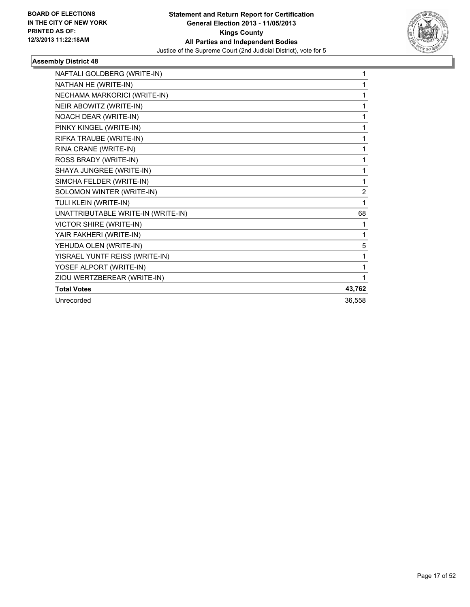

| NAFTALI GOLDBERG (WRITE-IN)        | 1              |
|------------------------------------|----------------|
| NATHAN HE (WRITE-IN)               | 1              |
| NECHAMA MARKORICI (WRITE-IN)       | 1              |
| NEIR ABOWITZ (WRITE-IN)            | 1              |
| NOACH DEAR (WRITE-IN)              | 1              |
| PINKY KINGEL (WRITE-IN)            | 1              |
| RIFKA TRAUBE (WRITE-IN)            | 1              |
| RINA CRANE (WRITE-IN)              | 1              |
| ROSS BRADY (WRITE-IN)              | 1              |
| SHAYA JUNGREE (WRITE-IN)           | 1              |
| SIMCHA FELDER (WRITE-IN)           | 1              |
| SOLOMON WINTER (WRITE-IN)          | $\overline{2}$ |
| TULI KLEIN (WRITE-IN)              | 1              |
| UNATTRIBUTABLE WRITE-IN (WRITE-IN) | 68             |
| VICTOR SHIRE (WRITE-IN)            | 1              |
| YAIR FAKHERI (WRITE-IN)            | 1              |
| YEHUDA OLEN (WRITE-IN)             | 5              |
| YISRAEL YUNTF REISS (WRITE-IN)     | 1              |
| YOSEF ALPORT (WRITE-IN)            | 1              |
| ZIOU WERTZBEREAR (WRITE-IN)        | 1              |
| <b>Total Votes</b>                 | 43,762         |
| Unrecorded                         | 36,558         |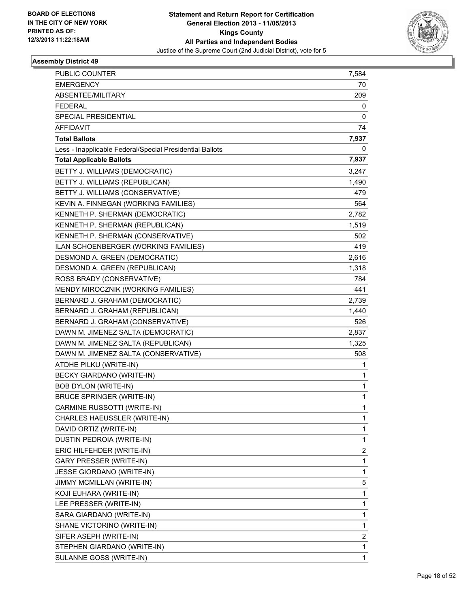

| <b>PUBLIC COUNTER</b>                                    | 7,584 |
|----------------------------------------------------------|-------|
| <b>EMERGENCY</b>                                         | 70    |
| ABSENTEE/MILITARY                                        | 209   |
| <b>FEDERAL</b>                                           | 0     |
| SPECIAL PRESIDENTIAL                                     | 0     |
| AFFIDAVIT                                                | 74    |
| <b>Total Ballots</b>                                     | 7,937 |
| Less - Inapplicable Federal/Special Presidential Ballots | 0     |
| <b>Total Applicable Ballots</b>                          | 7,937 |
| BETTY J. WILLIAMS (DEMOCRATIC)                           | 3,247 |
| BETTY J. WILLIAMS (REPUBLICAN)                           | 1,490 |
| BETTY J. WILLIAMS (CONSERVATIVE)                         | 479   |
| KEVIN A. FINNEGAN (WORKING FAMILIES)                     | 564   |
| KENNETH P. SHERMAN (DEMOCRATIC)                          | 2,782 |
| KENNETH P. SHERMAN (REPUBLICAN)                          | 1,519 |
| KENNETH P. SHERMAN (CONSERVATIVE)                        | 502   |
| ILAN SCHOENBERGER (WORKING FAMILIES)                     | 419   |
| DESMOND A. GREEN (DEMOCRATIC)                            | 2,616 |
| DESMOND A. GREEN (REPUBLICAN)                            | 1,318 |
| ROSS BRADY (CONSERVATIVE)                                | 784   |
| MENDY MIROCZNIK (WORKING FAMILIES)                       | 441   |
| BERNARD J. GRAHAM (DEMOCRATIC)                           | 2,739 |
| BERNARD J. GRAHAM (REPUBLICAN)                           | 1,440 |
| BERNARD J. GRAHAM (CONSERVATIVE)                         | 526   |
| DAWN M. JIMENEZ SALTA (DEMOCRATIC)                       | 2,837 |
| DAWN M. JIMENEZ SALTA (REPUBLICAN)                       | 1,325 |
| DAWN M. JIMENEZ SALTA (CONSERVATIVE)                     | 508   |
| ATDHE PILKU (WRITE-IN)                                   | 1     |
| BECKY GIARDANO (WRITE-IN)                                | 1     |
| <b>BOB DYLON (WRITE-IN)</b>                              | 1     |
| <b>BRUCE SPRINGER (WRITE-IN)</b>                         | 1     |
| CARMINE RUSSOTTI (WRITE-IN)                              | 1     |
| CHARLES HAEUSSLER (WRITE-IN)                             | 1     |
| DAVID ORTIZ (WRITE-IN)                                   | 1     |
| DUSTIN PEDROIA (WRITE-IN)                                | 1     |
| ERIC HILFEHDER (WRITE-IN)                                | 2     |
| <b>GARY PRESSER (WRITE-IN)</b>                           | 1     |
| JESSE GIORDANO (WRITE-IN)                                | 1     |
| JIMMY MCMILLAN (WRITE-IN)                                | 5     |
| KOJI EUHARA (WRITE-IN)                                   | 1     |
| LEE PRESSER (WRITE-IN)                                   | 1     |
| SARA GIARDANO (WRITE-IN)                                 | 1     |
| SHANE VICTORINO (WRITE-IN)                               | 1     |
| SIFER ASEPH (WRITE-IN)                                   | 2     |
| STEPHEN GIARDANO (WRITE-IN)                              | 1     |
| SULANNE GOSS (WRITE-IN)                                  | 1     |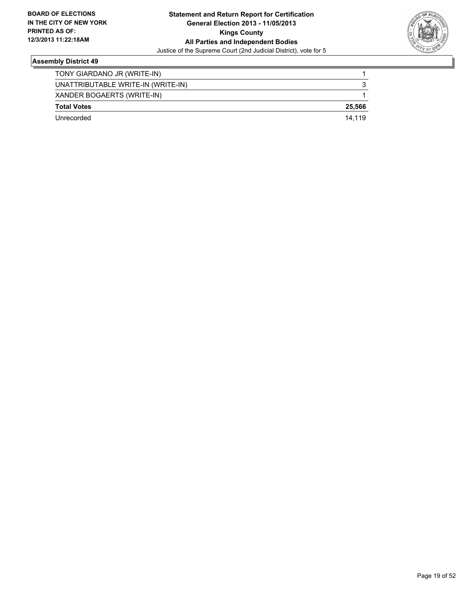

| Unrecorded                         | 14.119 |
|------------------------------------|--------|
| <b>Total Votes</b>                 | 25.566 |
| XANDER BOGAERTS (WRITE-IN)         |        |
| UNATTRIBUTABLE WRITE-IN (WRITE-IN) | 3      |
| TONY GIARDANO JR (WRITE-IN)        |        |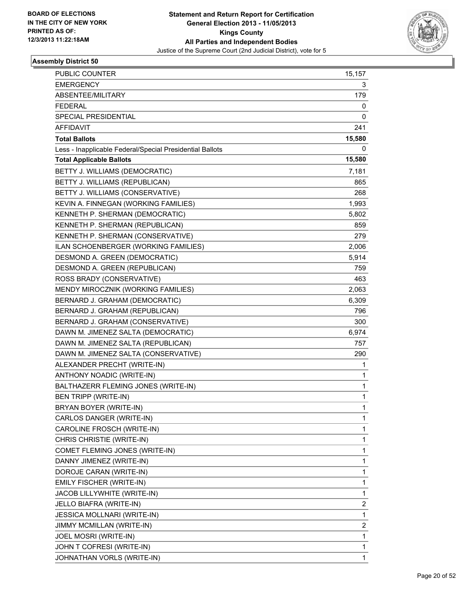

| <b>PUBLIC COUNTER</b>                                    | 15,157 |
|----------------------------------------------------------|--------|
| <b>EMERGENCY</b>                                         | 3      |
| ABSENTEE/MILITARY                                        | 179    |
| <b>FEDERAL</b>                                           | 0      |
| SPECIAL PRESIDENTIAL                                     | 0      |
| AFFIDAVIT                                                | 241    |
| <b>Total Ballots</b>                                     | 15,580 |
| Less - Inapplicable Federal/Special Presidential Ballots | 0      |
| <b>Total Applicable Ballots</b>                          | 15,580 |
| BETTY J. WILLIAMS (DEMOCRATIC)                           | 7,181  |
| BETTY J. WILLIAMS (REPUBLICAN)                           | 865    |
| BETTY J. WILLIAMS (CONSERVATIVE)                         | 268    |
| KEVIN A. FINNEGAN (WORKING FAMILIES)                     | 1,993  |
| KENNETH P. SHERMAN (DEMOCRATIC)                          | 5,802  |
| KENNETH P. SHERMAN (REPUBLICAN)                          | 859    |
| KENNETH P. SHERMAN (CONSERVATIVE)                        | 279    |
| ILAN SCHOENBERGER (WORKING FAMILIES)                     | 2,006  |
| DESMOND A. GREEN (DEMOCRATIC)                            | 5,914  |
| DESMOND A. GREEN (REPUBLICAN)                            | 759    |
| ROSS BRADY (CONSERVATIVE)                                | 463    |
| MENDY MIROCZNIK (WORKING FAMILIES)                       | 2,063  |
| BERNARD J. GRAHAM (DEMOCRATIC)                           | 6,309  |
| BERNARD J. GRAHAM (REPUBLICAN)                           | 796    |
| BERNARD J. GRAHAM (CONSERVATIVE)                         | 300    |
| DAWN M. JIMENEZ SALTA (DEMOCRATIC)                       | 6,974  |
| DAWN M. JIMENEZ SALTA (REPUBLICAN)                       | 757    |
| DAWN M. JIMENEZ SALTA (CONSERVATIVE)                     | 290    |
| ALEXANDER PRECHT (WRITE-IN)                              | 1      |
| ANTHONY NOADIC (WRITE-IN)                                | 1      |
| BALTHAZERR FLEMING JONES (WRITE-IN)                      | 1      |
| BEN TRIPP (WRITE-IN)                                     | 1      |
| BRYAN BOYER (WRITE-IN)                                   | 1      |
| CARLOS DANGER (WRITE-IN)                                 | 1      |
| CAROLINE FROSCH (WRITE-IN)                               | 1      |
| CHRIS CHRISTIE (WRITE-IN)                                | 1      |
| COMET FLEMING JONES (WRITE-IN)                           | 1      |
| DANNY JIMENEZ (WRITE-IN)                                 | 1      |
| DOROJE CARAN (WRITE-IN)                                  | 1      |
| EMILY FISCHER (WRITE-IN)                                 | 1      |
| JACOB LILLYWHITE (WRITE-IN)                              | 1      |
| JELLO BIAFRA (WRITE-IN)                                  | 2      |
| JESSICA MOLLNARI (WRITE-IN)                              | 1      |
| <b>JIMMY MCMILLAN (WRITE-IN)</b>                         | 2      |
| JOEL MOSRI (WRITE-IN)                                    | 1      |
| JOHN T COFRESI (WRITE-IN)                                | 1      |
| JOHNATHAN VORLS (WRITE-IN)                               | 1      |
|                                                          |        |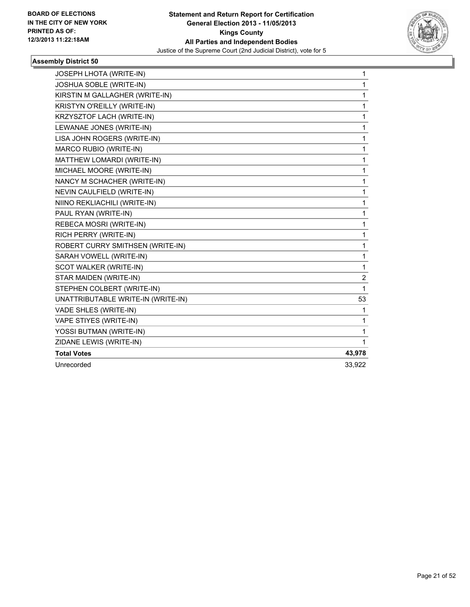

| JOSEPH LHOTA (WRITE-IN)            | 1              |
|------------------------------------|----------------|
| JOSHUA SOBLE (WRITE-IN)            | 1              |
| KIRSTIN M GALLAGHER (WRITE-IN)     | 1              |
| KRISTYN O'REILLY (WRITE-IN)        | 1              |
| KRZYSZTOF LACH (WRITE-IN)          | $\mathbf 1$    |
| LEWANAE JONES (WRITE-IN)           | 1              |
| LISA JOHN ROGERS (WRITE-IN)        | 1              |
| MARCO RUBIO (WRITE-IN)             | 1              |
| MATTHEW LOMARDI (WRITE-IN)         | 1              |
| MICHAEL MOORE (WRITE-IN)           | 1              |
| NANCY M SCHACHER (WRITE-IN)        | 1              |
| NEVIN CAULFIELD (WRITE-IN)         | 1              |
| NIINO REKLIACHILI (WRITE-IN)       | 1              |
| PAUL RYAN (WRITE-IN)               | 1              |
| REBECA MOSRI (WRITE-IN)            | 1              |
| RICH PERRY (WRITE-IN)              | 1              |
| ROBERT CURRY SMITHSEN (WRITE-IN)   | 1              |
| SARAH VOWELL (WRITE-IN)            | 1              |
| SCOT WALKER (WRITE-IN)             | 1              |
| STAR MAIDEN (WRITE-IN)             | $\overline{2}$ |
| STEPHEN COLBERT (WRITE-IN)         | 1              |
| UNATTRIBUTABLE WRITE-IN (WRITE-IN) | 53             |
| VADE SHLES (WRITE-IN)              | 1              |
| VAPE STIYES (WRITE-IN)             | 1              |
| YOSSI BUTMAN (WRITE-IN)            | 1              |
| ZIDANE LEWIS (WRITE-IN)            | 1              |
| <b>Total Votes</b>                 | 43,978         |
| Unrecorded                         | 33,922         |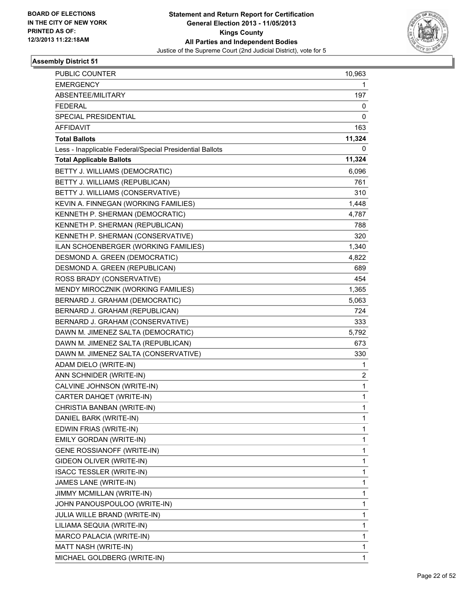

| PUBLIC COUNTER                                           | 10,963      |
|----------------------------------------------------------|-------------|
| <b>EMERGENCY</b>                                         | 1           |
| ABSENTEE/MILITARY                                        | 197         |
| <b>FEDERAL</b>                                           | 0           |
| SPECIAL PRESIDENTIAL                                     | 0           |
| AFFIDAVIT                                                | 163         |
| <b>Total Ballots</b>                                     | 11,324      |
| Less - Inapplicable Federal/Special Presidential Ballots | 0           |
| <b>Total Applicable Ballots</b>                          | 11,324      |
| BETTY J. WILLIAMS (DEMOCRATIC)                           | 6,096       |
| BETTY J. WILLIAMS (REPUBLICAN)                           | 761         |
| BETTY J. WILLIAMS (CONSERVATIVE)                         | 310         |
| KEVIN A. FINNEGAN (WORKING FAMILIES)                     | 1,448       |
| KENNETH P. SHERMAN (DEMOCRATIC)                          | 4,787       |
| KENNETH P. SHERMAN (REPUBLICAN)                          | 788         |
| KENNETH P. SHERMAN (CONSERVATIVE)                        | 320         |
| ILAN SCHOENBERGER (WORKING FAMILIES)                     | 1,340       |
| DESMOND A. GREEN (DEMOCRATIC)                            | 4,822       |
| DESMOND A. GREEN (REPUBLICAN)                            | 689         |
| ROSS BRADY (CONSERVATIVE)                                | 454         |
| MENDY MIROCZNIK (WORKING FAMILIES)                       | 1,365       |
| BERNARD J. GRAHAM (DEMOCRATIC)                           | 5,063       |
| BERNARD J. GRAHAM (REPUBLICAN)                           | 724         |
| BERNARD J. GRAHAM (CONSERVATIVE)                         | 333         |
| DAWN M. JIMENEZ SALTA (DEMOCRATIC)                       | 5,792       |
| DAWN M. JIMENEZ SALTA (REPUBLICAN)                       | 673         |
| DAWN M. JIMENEZ SALTA (CONSERVATIVE)                     | 330         |
| ADAM DIELO (WRITE-IN)                                    | 1           |
| ANN SCHNIDER (WRITE-IN)                                  | 2           |
| CALVINE JOHNSON (WRITE-IN)                               | $\mathbf 1$ |
| CARTER DAHQET (WRITE-IN)                                 | 1           |
| CHRISTIA BANBAN (WRITE-IN)                               | 1           |
| DANIEL BARK (WRITE-IN)                                   | 1           |
| EDWIN FRIAS (WRITE-IN)                                   | 1           |
| EMILY GORDAN (WRITE-IN)                                  | 1           |
| <b>GENE ROSSIANOFF (WRITE-IN)</b>                        | 1           |
| GIDEON OLIVER (WRITE-IN)                                 | 1           |
| <b>ISACC TESSLER (WRITE-IN)</b>                          | 1           |
| JAMES LANE (WRITE-IN)                                    | 1           |
| JIMMY MCMILLAN (WRITE-IN)                                | 1           |
| JOHN PANOUSPOULOO (WRITE-IN)                             | 1           |
| JULIA WILLE BRAND (WRITE-IN)                             | 1           |
| LILIAMA SEQUIA (WRITE-IN)                                | 1           |
| MARCO PALACIA (WRITE-IN)                                 | 1           |
| MATT NASH (WRITE-IN)                                     | 1           |
| MICHAEL GOLDBERG (WRITE-IN)                              | 1           |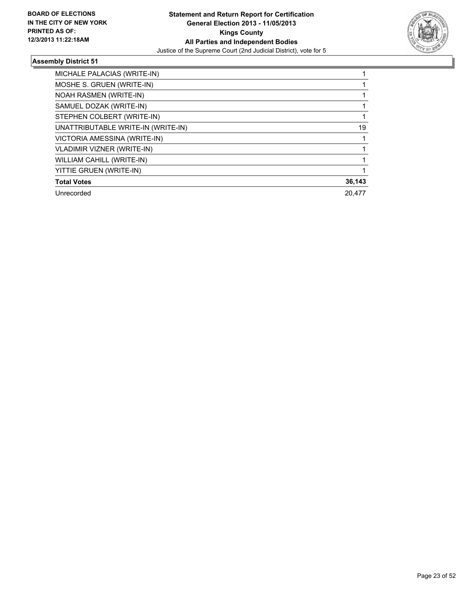

| MICHALE PALACIAS (WRITE-IN)        |        |
|------------------------------------|--------|
| MOSHE S. GRUEN (WRITE-IN)          |        |
| <b>NOAH RASMEN (WRITE-IN)</b>      |        |
| SAMUEL DOZAK (WRITE-IN)            |        |
| STEPHEN COLBERT (WRITE-IN)         |        |
| UNATTRIBUTABLE WRITE-IN (WRITE-IN) | 19     |
| VICTORIA AMESSINA (WRITE-IN)       |        |
| <b>VLADIMIR VIZNER (WRITE-IN)</b>  |        |
| WILLIAM CAHILL (WRITE-IN)          |        |
| YITTIE GRUEN (WRITE-IN)            |        |
| <b>Total Votes</b>                 | 36,143 |
| Unrecorded                         | 20.477 |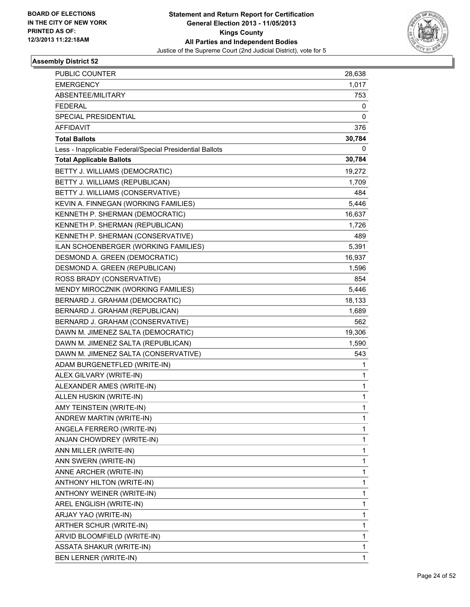

| <b>PUBLIC COUNTER</b>                                    | 28,638 |
|----------------------------------------------------------|--------|
| <b>EMERGENCY</b>                                         | 1,017  |
| ABSENTEE/MILITARY                                        | 753    |
| <b>FEDERAL</b>                                           | 0      |
| SPECIAL PRESIDENTIAL                                     | 0      |
| AFFIDAVIT                                                | 376    |
| <b>Total Ballots</b>                                     | 30,784 |
| Less - Inapplicable Federal/Special Presidential Ballots | 0      |
| <b>Total Applicable Ballots</b>                          | 30,784 |
| BETTY J. WILLIAMS (DEMOCRATIC)                           | 19,272 |
| BETTY J. WILLIAMS (REPUBLICAN)                           | 1,709  |
| BETTY J. WILLIAMS (CONSERVATIVE)                         | 484    |
| KEVIN A. FINNEGAN (WORKING FAMILIES)                     | 5,446  |
| KENNETH P. SHERMAN (DEMOCRATIC)                          | 16,637 |
| KENNETH P. SHERMAN (REPUBLICAN)                          | 1,726  |
| KENNETH P. SHERMAN (CONSERVATIVE)                        | 489    |
| ILAN SCHOENBERGER (WORKING FAMILIES)                     | 5,391  |
| DESMOND A. GREEN (DEMOCRATIC)                            | 16,937 |
| DESMOND A. GREEN (REPUBLICAN)                            | 1,596  |
| ROSS BRADY (CONSERVATIVE)                                | 854    |
| MENDY MIROCZNIK (WORKING FAMILIES)                       | 5,446  |
| BERNARD J. GRAHAM (DEMOCRATIC)                           | 18,133 |
| BERNARD J. GRAHAM (REPUBLICAN)                           | 1,689  |
| BERNARD J. GRAHAM (CONSERVATIVE)                         | 562    |
| DAWN M. JIMENEZ SALTA (DEMOCRATIC)                       | 19,306 |
| DAWN M. JIMENEZ SALTA (REPUBLICAN)                       | 1,590  |
| DAWN M. JIMENEZ SALTA (CONSERVATIVE)                     | 543    |
| ADAM BURGENETFLED (WRITE-IN)                             | 1      |
| ALEX GILVARY (WRITE-IN)                                  | 1      |
| ALEXANDER AMES (WRITE-IN)                                | 1      |
| ALLEN HUSKIN (WRITE-IN)                                  | 1      |
| AMY TEINSTEIN (WRITE-IN)                                 | 1      |
| ANDREW MARTIN (WRITE-IN)                                 | 1      |
| ANGELA FERRERO (WRITE-IN)                                | 1      |
| ANJAN CHOWDREY (WRITE-IN)                                | 1      |
| ANN MILLER (WRITE-IN)                                    | 1      |
| ANN SWERN (WRITE-IN)                                     | 1      |
| ANNE ARCHER (WRITE-IN)                                   | 1      |
| ANTHONY HILTON (WRITE-IN)                                | 1      |
| ANTHONY WEINER (WRITE-IN)                                | 1      |
| AREL ENGLISH (WRITE-IN)                                  | 1      |
| ARJAY YAO (WRITE-IN)                                     | 1      |
| ARTHER SCHUR (WRITE-IN)                                  | 1      |
| ARVID BLOOMFIELD (WRITE-IN)                              | 1      |
| <b>ASSATA SHAKUR (WRITE-IN)</b>                          | 1      |
| BEN LERNER (WRITE-IN)                                    | 1      |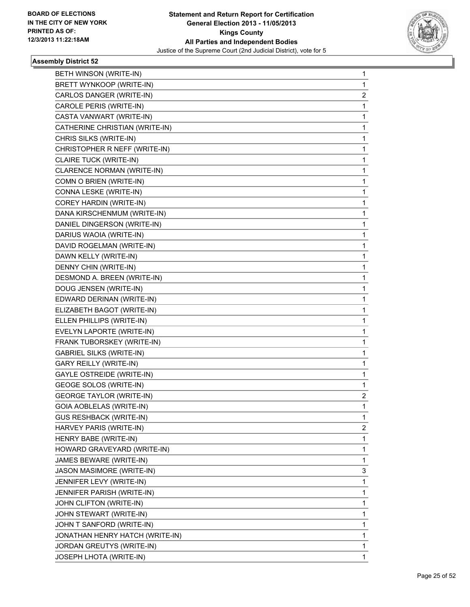

| BETH WINSON (WRITE-IN)           | 1              |
|----------------------------------|----------------|
| BRETT WYNKOOP (WRITE-IN)         | 1              |
| CARLOS DANGER (WRITE-IN)         | $\overline{c}$ |
| CAROLE PERIS (WRITE-IN)          | 1              |
| CASTA VANWART (WRITE-IN)         | 1              |
| CATHERINE CHRISTIAN (WRITE-IN)   | 1              |
| CHRIS SILKS (WRITE-IN)           | 1              |
| CHRISTOPHER R NEFF (WRITE-IN)    | 1              |
| CLAIRE TUCK (WRITE-IN)           | 1              |
| CLARENCE NORMAN (WRITE-IN)       | 1              |
| COMN O BRIEN (WRITE-IN)          | 1              |
| CONNA LESKE (WRITE-IN)           | 1              |
| COREY HARDIN (WRITE-IN)          | 1              |
| DANA KIRSCHENMUM (WRITE-IN)      | 1              |
| DANIEL DINGERSON (WRITE-IN)      | 1              |
| DARIUS WAOIA (WRITE-IN)          | 1              |
| DAVID ROGELMAN (WRITE-IN)        | 1              |
| DAWN KELLY (WRITE-IN)            | 1              |
| DENNY CHIN (WRITE-IN)            | 1              |
| DESMOND A. BREEN (WRITE-IN)      | 1              |
| DOUG JENSEN (WRITE-IN)           | 1              |
| EDWARD DERINAN (WRITE-IN)        | 1              |
| ELIZABETH BAGOT (WRITE-IN)       | 1              |
| ELLEN PHILLIPS (WRITE-IN)        | 1              |
| EVELYN LAPORTE (WRITE-IN)        | 1              |
| FRANK TUBORSKEY (WRITE-IN)       | 1              |
| <b>GABRIEL SILKS (WRITE-IN)</b>  | 1              |
| <b>GARY REILLY (WRITE-IN)</b>    | 1              |
| <b>GAYLE OSTREIDE (WRITE-IN)</b> | 1              |
| <b>GEOGE SOLOS (WRITE-IN)</b>    | 1              |
| <b>GEORGE TAYLOR (WRITE-IN)</b>  | 2              |
| GOIA AOBLELAS (WRITE-IN)         | 1              |
| <b>GUS RESHBACK (WRITE-IN)</b>   | 1              |
| HARVEY PARIS (WRITE-IN)          | $\mathbf{2}$   |
| HENRY BABE (WRITE-IN)            | 1              |
| HOWARD GRAVEYARD (WRITE-IN)      | 1              |
| JAMES BEWARE (WRITE-IN)          | 1              |
| JASON MASIMORE (WRITE-IN)        | 3              |
| JENNIFER LEVY (WRITE-IN)         | 1              |
| JENNIFER PARISH (WRITE-IN)       | 1              |
| JOHN CLIFTON (WRITE-IN)          | 1              |
| JOHN STEWART (WRITE-IN)          | 1              |
| JOHN T SANFORD (WRITE-IN)        | 1              |
| JONATHAN HENRY HATCH (WRITE-IN)  | 1              |
| JORDAN GREUTYS (WRITE-IN)        | 1              |
| JOSEPH LHOTA (WRITE-IN)          | 1              |
|                                  |                |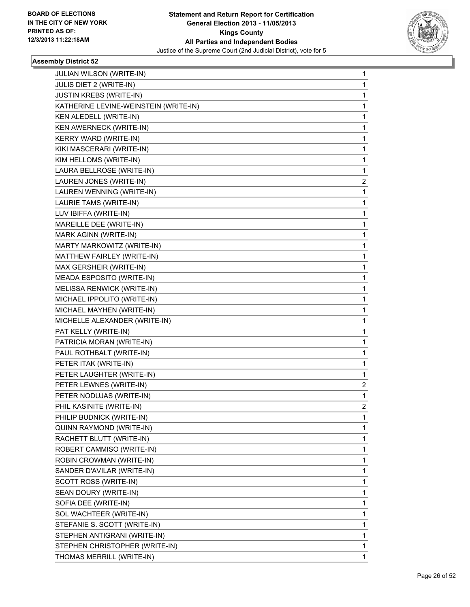

| JULIAN WILSON (WRITE-IN)              | 1  |
|---------------------------------------|----|
| JULIS DIET 2 (WRITE-IN)               | 1  |
| JUSTIN KREBS (WRITE-IN)               | 1  |
| KATHERINE LEVINE-WEINSTEIN (WRITE-IN) | 1  |
| KEN ALEDELL (WRITE-IN)                | 1  |
| KEN AWERNECK (WRITE-IN)               | 1  |
| KERRY WARD (WRITE-IN)                 | 1  |
| KIKI MASCERARI (WRITE-IN)             | 1  |
| KIM HELLOMS (WRITE-IN)                | 1  |
| LAURA BELLROSE (WRITE-IN)             | 1  |
| LAUREN JONES (WRITE-IN)               | 2  |
| LAUREN WENNING (WRITE-IN)             | 1  |
| LAURIE TAMS (WRITE-IN)                | 1  |
| LUV IBIFFA (WRITE-IN)                 | 1  |
| MAREILLE DEE (WRITE-IN)               | 1  |
| MARK AGINN (WRITE-IN)                 | 1  |
| MARTY MARKOWITZ (WRITE-IN)            | 1  |
| MATTHEW FAIRLEY (WRITE-IN)            | 1  |
| MAX GERSHEIR (WRITE-IN)               | 1  |
| MEADA ESPOSITO (WRITE-IN)             | 1  |
| MELISSA RENWICK (WRITE-IN)            | 1  |
| MICHAEL IPPOLITO (WRITE-IN)           | 1  |
| MICHAEL MAYHEN (WRITE-IN)             | 1  |
| MICHELLE ALEXANDER (WRITE-IN)         | 1  |
| PAT KELLY (WRITE-IN)                  | 1  |
| PATRICIA MORAN (WRITE-IN)             | 1  |
| PAUL ROTHBALT (WRITE-IN)              | 1  |
| PETER ITAK (WRITE-IN)                 | 1  |
| PETER LAUGHTER (WRITE-IN)             | 1  |
| PETER LEWNES (WRITE-IN)               | 2  |
| PETER NODUJAS (WRITE-IN)              | 1  |
| PHIL KASINITE (WRITE-IN)              | 2  |
| PHILIP BUDNICK (WRITE-IN)             | 1  |
| QUINN RAYMOND (WRITE-IN)              | 1  |
| RACHETT BLUTT (WRITE-IN)              | 1  |
| ROBERT CAMMISO (WRITE-IN)             | 1  |
| ROBIN CROWMAN (WRITE-IN)              | 1  |
| SANDER D'AVILAR (WRITE-IN)            | 1  |
| SCOTT ROSS (WRITE-IN)                 | 1  |
| SEAN DOURY (WRITE-IN)                 | 1  |
| SOFIA DEE (WRITE-IN)                  | 1  |
| SOL WACHTEER (WRITE-IN)               | 1  |
| STEFANIE S. SCOTT (WRITE-IN)          | 1  |
| STEPHEN ANTIGRANI (WRITE-IN)          | 1  |
| STEPHEN CHRISTOPHER (WRITE-IN)        | 1  |
| THOMAS MERRILL (WRITE-IN)             | 1. |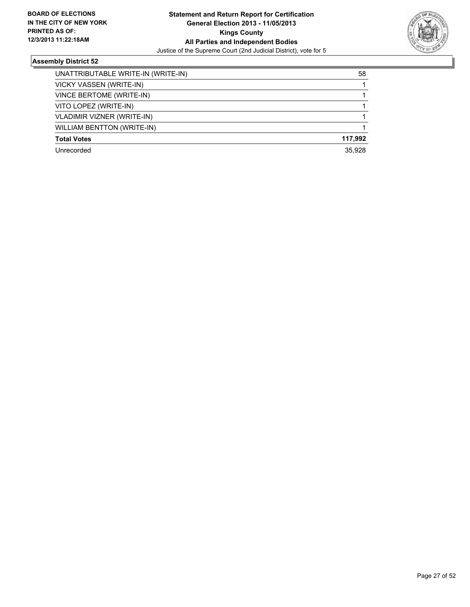

| UNATTRIBUTABLE WRITE-IN (WRITE-IN) | 58      |
|------------------------------------|---------|
| VICKY VASSEN (WRITE-IN)            |         |
| VINCE BERTOME (WRITE-IN)           |         |
| VITO LOPEZ (WRITE-IN)              |         |
| <b>VLADIMIR VIZNER (WRITE-IN)</b>  |         |
| <b>WILLIAM BENTTON (WRITE-IN)</b>  |         |
| <b>Total Votes</b>                 | 117.992 |
| Unrecorded                         | 35.928  |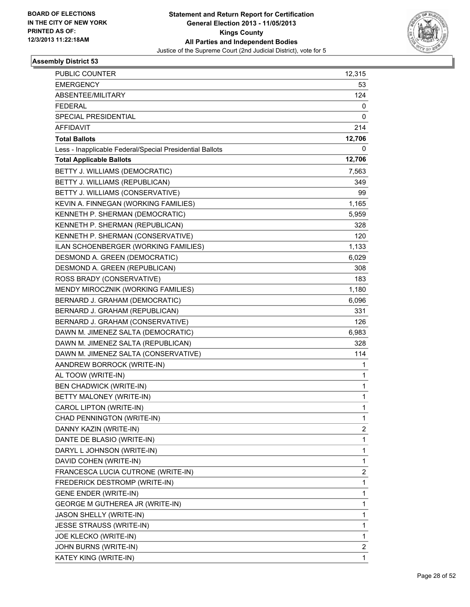

| PUBLIC COUNTER                                           | 12,315      |
|----------------------------------------------------------|-------------|
| <b>EMERGENCY</b>                                         | 53          |
| ABSENTEE/MILITARY                                        | 124         |
| <b>FEDERAL</b>                                           | 0           |
| SPECIAL PRESIDENTIAL                                     | 0           |
| AFFIDAVIT                                                | 214         |
| <b>Total Ballots</b>                                     | 12,706      |
| Less - Inapplicable Federal/Special Presidential Ballots | 0           |
| <b>Total Applicable Ballots</b>                          | 12,706      |
| BETTY J. WILLIAMS (DEMOCRATIC)                           | 7,563       |
| BETTY J. WILLIAMS (REPUBLICAN)                           | 349         |
| BETTY J. WILLIAMS (CONSERVATIVE)                         | 99          |
| KEVIN A. FINNEGAN (WORKING FAMILIES)                     | 1,165       |
| KENNETH P. SHERMAN (DEMOCRATIC)                          | 5,959       |
| KENNETH P. SHERMAN (REPUBLICAN)                          | 328         |
| KENNETH P. SHERMAN (CONSERVATIVE)                        | 120         |
| ILAN SCHOENBERGER (WORKING FAMILIES)                     | 1,133       |
| DESMOND A. GREEN (DEMOCRATIC)                            | 6,029       |
| DESMOND A. GREEN (REPUBLICAN)                            | 308         |
| ROSS BRADY (CONSERVATIVE)                                | 183         |
| MENDY MIROCZNIK (WORKING FAMILIES)                       | 1,180       |
| BERNARD J. GRAHAM (DEMOCRATIC)                           | 6,096       |
| BERNARD J. GRAHAM (REPUBLICAN)                           | 331         |
| BERNARD J. GRAHAM (CONSERVATIVE)                         | 126         |
| DAWN M. JIMENEZ SALTA (DEMOCRATIC)                       | 6,983       |
| DAWN M. JIMENEZ SALTA (REPUBLICAN)                       | 328         |
| DAWN M. JIMENEZ SALTA (CONSERVATIVE)                     | 114         |
| AANDREW BORROCK (WRITE-IN)                               | 1           |
| AL TOOW (WRITE-IN)                                       | 1           |
| <b>BEN CHADWICK (WRITE-IN)</b>                           | $\mathbf 1$ |
| BETTY MALONEY (WRITE-IN)                                 | 1           |
| CAROL LIPTON (WRITE-IN)                                  | 1           |
| CHAD PENNINGTON (WRITE-IN)                               | 1           |
| DANNY KAZIN (WRITE-IN)                                   | 2           |
| DANTE DE BLASIO (WRITE-IN)                               | 1           |
| DARYL L JOHNSON (WRITE-IN)                               | 1           |
| DAVID COHEN (WRITE-IN)                                   | 1           |
| FRANCESCA LUCIA CUTRONE (WRITE-IN)                       | 2           |
| FREDERICK DESTROMP (WRITE-IN)                            | 1           |
| <b>GENE ENDER (WRITE-IN)</b>                             | 1           |
| <b>GEORGE M GUTHEREA JR (WRITE-IN)</b>                   | 1           |
| JASON SHELLY (WRITE-IN)                                  | 1           |
| <b>JESSE STRAUSS (WRITE-IN)</b>                          | 1           |
| JOE KLECKO (WRITE-IN)                                    | 1           |
| JOHN BURNS (WRITE-IN)                                    | 2           |
| KATEY KING (WRITE-IN)                                    | 1           |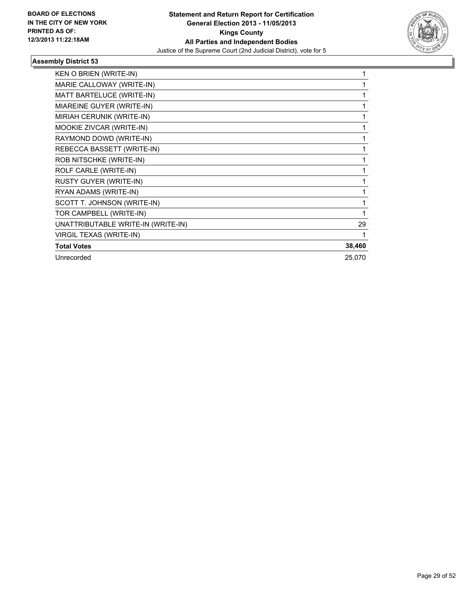

| KEN O BRIEN (WRITE-IN)             | 1            |
|------------------------------------|--------------|
| MARIE CALLOWAY (WRITE-IN)          | 1            |
| MATT BARTELUCE (WRITE-IN)          | 1            |
| MIAREINE GUYER (WRITE-IN)          | 1            |
| MIRIAH CERUNIK (WRITE-IN)          | 1            |
| MOOKIE ZIVCAR (WRITE-IN)           |              |
| RAYMOND DOWD (WRITE-IN)            |              |
| REBECCA BASSETT (WRITE-IN)         | 1            |
| ROB NITSCHKE (WRITE-IN)            | 1            |
| ROLF CARLE (WRITE-IN)              | 1            |
| RUSTY GUYER (WRITE-IN)             | $\mathbf{1}$ |
| RYAN ADAMS (WRITE-IN)              | 1            |
| SCOTT T. JOHNSON (WRITE-IN)        | 1            |
| TOR CAMPBELL (WRITE-IN)            | 1            |
| UNATTRIBUTABLE WRITE-IN (WRITE-IN) | 29           |
| VIRGIL TEXAS (WRITE-IN)            | 1            |
| <b>Total Votes</b>                 | 38,460       |
| Unrecorded                         | 25,070       |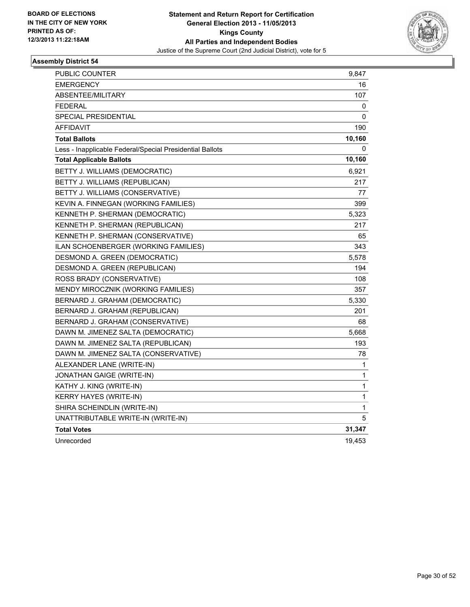

| PUBLIC COUNTER                                           | 9,847  |
|----------------------------------------------------------|--------|
| <b>EMERGENCY</b>                                         | 16     |
| <b>ABSENTEE/MILITARY</b>                                 | 107    |
| <b>FEDERAL</b>                                           | 0      |
| SPECIAL PRESIDENTIAL                                     | 0      |
| <b>AFFIDAVIT</b>                                         | 190    |
| <b>Total Ballots</b>                                     | 10,160 |
| Less - Inapplicable Federal/Special Presidential Ballots | 0      |
| <b>Total Applicable Ballots</b>                          | 10,160 |
| BETTY J. WILLIAMS (DEMOCRATIC)                           | 6,921  |
| BETTY J. WILLIAMS (REPUBLICAN)                           | 217    |
| BETTY J. WILLIAMS (CONSERVATIVE)                         | 77     |
| KEVIN A. FINNEGAN (WORKING FAMILIES)                     | 399    |
| KENNETH P. SHERMAN (DEMOCRATIC)                          | 5,323  |
| KENNETH P. SHERMAN (REPUBLICAN)                          | 217    |
| KENNETH P. SHERMAN (CONSERVATIVE)                        | 65     |
| <b>ILAN SCHOENBERGER (WORKING FAMILIES)</b>              | 343    |
| DESMOND A. GREEN (DEMOCRATIC)                            | 5,578  |
| DESMOND A. GREEN (REPUBLICAN)                            | 194    |
| ROSS BRADY (CONSERVATIVE)                                | 108    |
| MENDY MIROCZNIK (WORKING FAMILIES)                       | 357    |
| BERNARD J. GRAHAM (DEMOCRATIC)                           | 5,330  |
| BERNARD J. GRAHAM (REPUBLICAN)                           | 201    |
| BERNARD J. GRAHAM (CONSERVATIVE)                         | 68     |
| DAWN M. JIMENEZ SALTA (DEMOCRATIC)                       | 5,668  |
| DAWN M. JIMENEZ SALTA (REPUBLICAN)                       | 193    |
| DAWN M. JIMENEZ SALTA (CONSERVATIVE)                     | 78     |
| ALEXANDER LANE (WRITE-IN)                                | 1      |
| JONATHAN GAIGE (WRITE-IN)                                | 1      |
| KATHY J. KING (WRITE-IN)                                 | 1      |
| KERRY HAYES (WRITE-IN)                                   | 1      |
| SHIRA SCHEINDLIN (WRITE-IN)                              | 1      |
| UNATTRIBUTABLE WRITE-IN (WRITE-IN)                       | 5      |
| <b>Total Votes</b>                                       | 31,347 |
| Unrecorded                                               | 19,453 |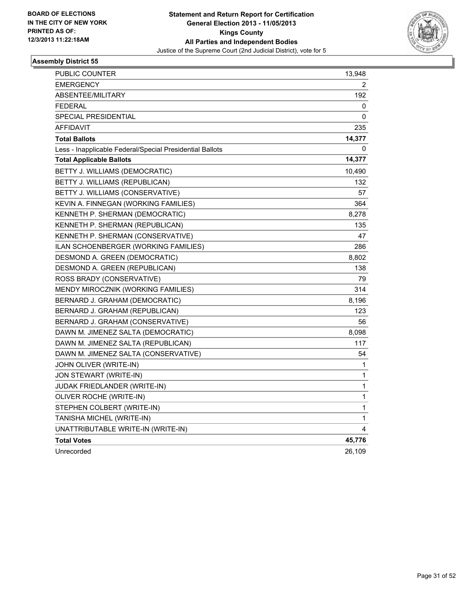

| PUBLIC COUNTER                                           | 13,948 |
|----------------------------------------------------------|--------|
| <b>EMERGENCY</b>                                         | 2      |
| ABSENTEE/MILITARY                                        | 192    |
| <b>FEDERAL</b>                                           | 0      |
| <b>SPECIAL PRESIDENTIAL</b>                              | 0      |
| AFFIDAVIT                                                | 235    |
| <b>Total Ballots</b>                                     | 14,377 |
| Less - Inapplicable Federal/Special Presidential Ballots | 0      |
| <b>Total Applicable Ballots</b>                          | 14,377 |
| BETTY J. WILLIAMS (DEMOCRATIC)                           | 10,490 |
| BETTY J. WILLIAMS (REPUBLICAN)                           | 132    |
| BETTY J. WILLIAMS (CONSERVATIVE)                         | 57     |
| KEVIN A. FINNEGAN (WORKING FAMILIES)                     | 364    |
| KENNETH P. SHERMAN (DEMOCRATIC)                          | 8,278  |
| KENNETH P. SHERMAN (REPUBLICAN)                          | 135    |
| KENNETH P. SHERMAN (CONSERVATIVE)                        | 47     |
| ILAN SCHOENBERGER (WORKING FAMILIES)                     | 286    |
| DESMOND A. GREEN (DEMOCRATIC)                            | 8,802  |
| DESMOND A. GREEN (REPUBLICAN)                            | 138    |
| ROSS BRADY (CONSERVATIVE)                                | 79     |
| MENDY MIROCZNIK (WORKING FAMILIES)                       | 314    |
| BERNARD J. GRAHAM (DEMOCRATIC)                           | 8,196  |
| BERNARD J. GRAHAM (REPUBLICAN)                           | 123    |
| BERNARD J. GRAHAM (CONSERVATIVE)                         | 56     |
| DAWN M. JIMENEZ SALTA (DEMOCRATIC)                       | 8,098  |
| DAWN M. JIMENEZ SALTA (REPUBLICAN)                       | 117    |
| DAWN M. JIMENEZ SALTA (CONSERVATIVE)                     | 54     |
| JOHN OLIVER (WRITE-IN)                                   | 1      |
| JON STEWART (WRITE-IN)                                   | 1      |
| JUDAK FRIEDLANDER (WRITE-IN)                             | 1      |
| OLIVER ROCHE (WRITE-IN)                                  | 1      |
| STEPHEN COLBERT (WRITE-IN)                               | 1      |
| TANISHA MICHEL (WRITE-IN)                                | 1      |
| UNATTRIBUTABLE WRITE-IN (WRITE-IN)                       | 4      |
| <b>Total Votes</b>                                       | 45,776 |
| Unrecorded                                               | 26,109 |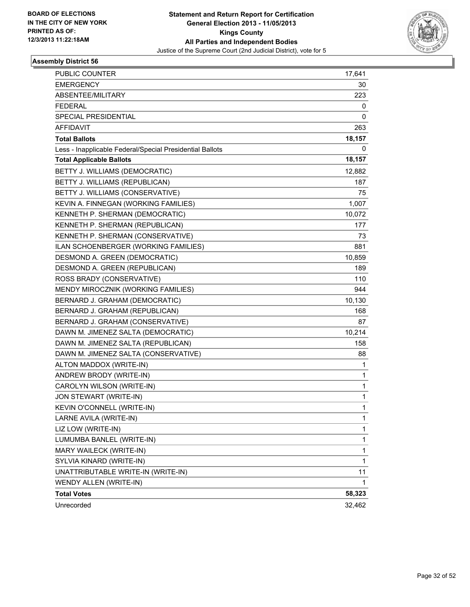

| PUBLIC COUNTER                                           | 17,641       |
|----------------------------------------------------------|--------------|
| EMERGENCY                                                | 30           |
| ABSENTEE/MILITARY                                        | 223          |
| <b>FEDERAL</b>                                           | 0            |
| SPECIAL PRESIDENTIAL                                     | 0            |
| <b>AFFIDAVIT</b>                                         | 263          |
| <b>Total Ballots</b>                                     | 18,157       |
| Less - Inapplicable Federal/Special Presidential Ballots | 0            |
| <b>Total Applicable Ballots</b>                          | 18,157       |
| BETTY J. WILLIAMS (DEMOCRATIC)                           | 12,882       |
| BETTY J. WILLIAMS (REPUBLICAN)                           | 187          |
| BETTY J. WILLIAMS (CONSERVATIVE)                         | 75           |
| KEVIN A. FINNEGAN (WORKING FAMILIES)                     | 1,007        |
| KENNETH P. SHERMAN (DEMOCRATIC)                          | 10,072       |
| KENNETH P. SHERMAN (REPUBLICAN)                          | 177          |
| KENNETH P. SHERMAN (CONSERVATIVE)                        | 73           |
| ILAN SCHOENBERGER (WORKING FAMILIES)                     | 881          |
| DESMOND A. GREEN (DEMOCRATIC)                            | 10,859       |
| DESMOND A. GREEN (REPUBLICAN)                            | 189          |
| ROSS BRADY (CONSERVATIVE)                                | 110          |
| MENDY MIROCZNIK (WORKING FAMILIES)                       | 944          |
| BERNARD J. GRAHAM (DEMOCRATIC)                           | 10,130       |
| BERNARD J. GRAHAM (REPUBLICAN)                           | 168          |
| BERNARD J. GRAHAM (CONSERVATIVE)                         | 87           |
| DAWN M. JIMENEZ SALTA (DEMOCRATIC)                       | 10,214       |
| DAWN M. JIMENEZ SALTA (REPUBLICAN)                       | 158          |
| DAWN M. JIMENEZ SALTA (CONSERVATIVE)                     | 88           |
| ALTON MADDOX (WRITE-IN)                                  | 1            |
| ANDREW BRODY (WRITE-IN)                                  | 1            |
| CAROLYN WILSON (WRITE-IN)                                | 1            |
| JON STEWART (WRITE-IN)                                   | 1            |
| KEVIN O'CONNELL (WRITE-IN)                               | 1            |
| LARNE AVILA (WRITE-IN)                                   | 1            |
| LIZ LOW (WRITE-IN)                                       | 1            |
| LUMUMBA BANLEL (WRITE-IN)                                | 1            |
| MARY WAILECK (WRITE-IN)                                  | 1            |
| SYLVIA KINARD (WRITE-IN)                                 | $\mathbf{1}$ |
| UNATTRIBUTABLE WRITE-IN (WRITE-IN)                       | 11           |
| WENDY ALLEN (WRITE-IN)                                   | 1            |
| <b>Total Votes</b>                                       | 58,323       |
| Unrecorded                                               | 32,462       |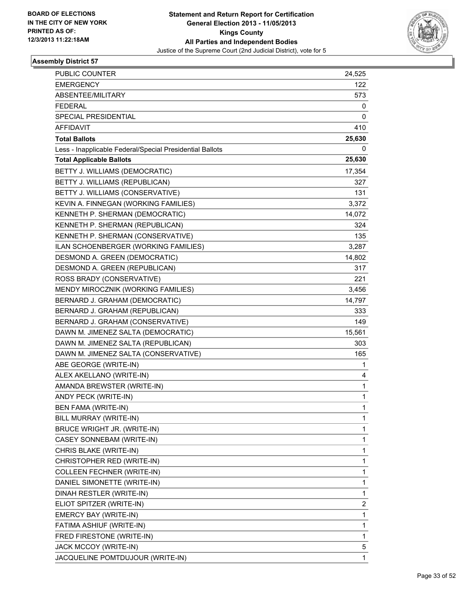

| <b>PUBLIC COUNTER</b>                                    | 24,525 |
|----------------------------------------------------------|--------|
| <b>EMERGENCY</b>                                         | 122    |
| ABSENTEE/MILITARY                                        | 573    |
| <b>FEDERAL</b>                                           | 0      |
| <b>SPECIAL PRESIDENTIAL</b>                              | 0      |
| AFFIDAVIT                                                | 410    |
| <b>Total Ballots</b>                                     | 25,630 |
| Less - Inapplicable Federal/Special Presidential Ballots | 0      |
| <b>Total Applicable Ballots</b>                          | 25,630 |
| BETTY J. WILLIAMS (DEMOCRATIC)                           | 17,354 |
| BETTY J. WILLIAMS (REPUBLICAN)                           | 327    |
| BETTY J. WILLIAMS (CONSERVATIVE)                         | 131    |
| KEVIN A. FINNEGAN (WORKING FAMILIES)                     | 3,372  |
| KENNETH P. SHERMAN (DEMOCRATIC)                          | 14,072 |
| KENNETH P. SHERMAN (REPUBLICAN)                          | 324    |
| KENNETH P. SHERMAN (CONSERVATIVE)                        | 135    |
| ILAN SCHOENBERGER (WORKING FAMILIES)                     | 3,287  |
| DESMOND A. GREEN (DEMOCRATIC)                            | 14,802 |
| DESMOND A. GREEN (REPUBLICAN)                            | 317    |
| ROSS BRADY (CONSERVATIVE)                                | 221    |
| MENDY MIROCZNIK (WORKING FAMILIES)                       | 3,456  |
| BERNARD J. GRAHAM (DEMOCRATIC)                           | 14,797 |
| BERNARD J. GRAHAM (REPUBLICAN)                           | 333    |
| BERNARD J. GRAHAM (CONSERVATIVE)                         | 149    |
| DAWN M. JIMENEZ SALTA (DEMOCRATIC)                       | 15,561 |
| DAWN M. JIMENEZ SALTA (REPUBLICAN)                       | 303    |
| DAWN M. JIMENEZ SALTA (CONSERVATIVE)                     | 165    |
| ABE GEORGE (WRITE-IN)                                    | 1      |
| ALEX AKELLANO (WRITE-IN)                                 | 4      |
| AMANDA BREWSTER (WRITE-IN)                               | 1      |
| ANDY PECK (WRITE-IN)                                     | 1      |
| BEN FAMA (WRITE-IN)                                      | 1      |
| BILL MURRAY (WRITE-IN)                                   | 1      |
| BRUCE WRIGHT JR. (WRITE-IN)                              | 1      |
| CASEY SONNEBAM (WRITE-IN)                                | 1      |
| CHRIS BLAKE (WRITE-IN)                                   | 1      |
| CHRISTOPHER RED (WRITE-IN)                               | 1      |
| <b>COLLEEN FECHNER (WRITE-IN)</b>                        | 1      |
| DANIEL SIMONETTE (WRITE-IN)                              | 1      |
| DINAH RESTLER (WRITE-IN)                                 | 1      |
| ELIOT SPITZER (WRITE-IN)                                 | 2      |
| EMERCY BAY (WRITE-IN)                                    | 1      |
| FATIMA ASHIUF (WRITE-IN)                                 | 1      |
| FRED FIRESTONE (WRITE-IN)                                | 1      |
| JACK MCCOY (WRITE-IN)                                    | 5      |
| JACQUELINE POMTDUJOUR (WRITE-IN)                         | 1      |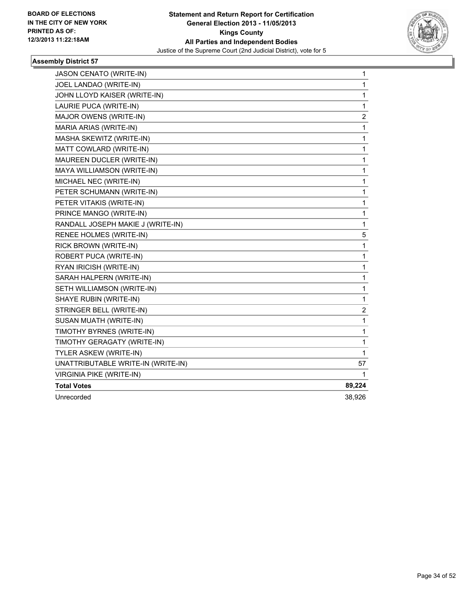

| JASON CENATO (WRITE-IN)            | 1      |
|------------------------------------|--------|
| JOEL LANDAO (WRITE-IN)             | 1      |
| JOHN LLOYD KAISER (WRITE-IN)       | 1      |
| LAURIE PUCA (WRITE-IN)             | 1      |
| MAJOR OWENS (WRITE-IN)             | 2      |
| MARIA ARIAS (WRITE-IN)             | 1      |
| MASHA SKEWITZ (WRITE-IN)           | 1      |
| MATT COWLARD (WRITE-IN)            | 1      |
| MAUREEN DUCLER (WRITE-IN)          | 1      |
| <b>MAYA WILLIAMSON (WRITE-IN)</b>  | 1      |
| MICHAEL NEC (WRITE-IN)             | 1      |
| PETER SCHUMANN (WRITE-IN)          | 1      |
| PETER VITAKIS (WRITE-IN)           | 1      |
| PRINCE MANGO (WRITE-IN)            | 1      |
| RANDALL JOSEPH MAKIE J (WRITE-IN)  | 1      |
| RENEE HOLMES (WRITE-IN)            | 5      |
| RICK BROWN (WRITE-IN)              | 1      |
| ROBERT PUCA (WRITE-IN)             | 1      |
| RYAN IRICISH (WRITE-IN)            | 1      |
| SARAH HALPERN (WRITE-IN)           | 1      |
| SETH WILLIAMSON (WRITE-IN)         | 1      |
| SHAYE RUBIN (WRITE-IN)             | 1      |
| STRINGER BELL (WRITE-IN)           | 2      |
| SUSAN MUATH (WRITE-IN)             | 1      |
| TIMOTHY BYRNES (WRITE-IN)          | 1      |
| TIMOTHY GERAGATY (WRITE-IN)        | 1      |
| TYLER ASKEW (WRITE-IN)             | 1      |
| UNATTRIBUTABLE WRITE-IN (WRITE-IN) | 57     |
| VIRGINIA PIKE (WRITE-IN)           | 1      |
| <b>Total Votes</b>                 | 89,224 |
| Unrecorded                         | 38,926 |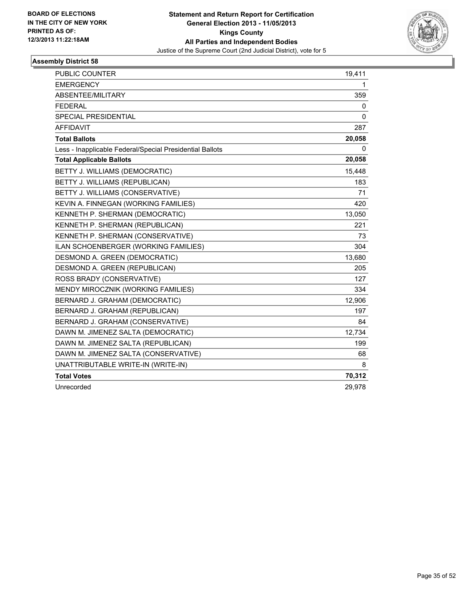

| PUBLIC COUNTER                                           | 19,411 |
|----------------------------------------------------------|--------|
| <b>EMERGENCY</b>                                         | 1      |
| ABSENTEE/MILITARY                                        | 359    |
| <b>FEDERAL</b>                                           | 0      |
| <b>SPECIAL PRESIDENTIAL</b>                              | 0      |
| <b>AFFIDAVIT</b>                                         | 287    |
| <b>Total Ballots</b>                                     | 20,058 |
| Less - Inapplicable Federal/Special Presidential Ballots | 0      |
| <b>Total Applicable Ballots</b>                          | 20,058 |
| BETTY J. WILLIAMS (DEMOCRATIC)                           | 15,448 |
| BETTY J. WILLIAMS (REPUBLICAN)                           | 183    |
| BETTY J. WILLIAMS (CONSERVATIVE)                         | 71     |
| KEVIN A. FINNEGAN (WORKING FAMILIES)                     | 420    |
| KENNETH P. SHERMAN (DEMOCRATIC)                          | 13,050 |
| KENNETH P. SHERMAN (REPUBLICAN)                          | 221    |
| KENNETH P. SHERMAN (CONSERVATIVE)                        | 73     |
| ILAN SCHOENBERGER (WORKING FAMILIES)                     | 304    |
| DESMOND A. GREEN (DEMOCRATIC)                            | 13,680 |
| DESMOND A. GREEN (REPUBLICAN)                            | 205    |
| ROSS BRADY (CONSERVATIVE)                                | 127    |
| MENDY MIROCZNIK (WORKING FAMILIES)                       | 334    |
| BERNARD J. GRAHAM (DEMOCRATIC)                           | 12,906 |
| BERNARD J. GRAHAM (REPUBLICAN)                           | 197    |
| BERNARD J. GRAHAM (CONSERVATIVE)                         | 84     |
| DAWN M. JIMENEZ SALTA (DEMOCRATIC)                       | 12,734 |
| DAWN M. JIMENEZ SALTA (REPUBLICAN)                       | 199    |
| DAWN M. JIMENEZ SALTA (CONSERVATIVE)                     | 68     |
| UNATTRIBUTABLE WRITE-IN (WRITE-IN)                       | 8      |
| <b>Total Votes</b>                                       | 70,312 |
| Unrecorded                                               | 29,978 |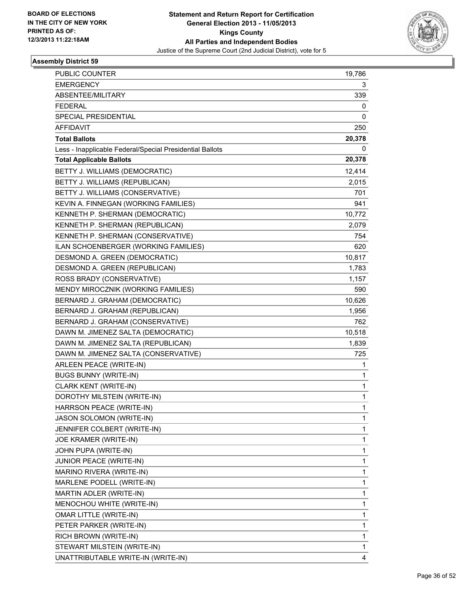

| PUBLIC COUNTER                                           | 19,786 |
|----------------------------------------------------------|--------|
| <b>EMERGENCY</b>                                         | 3      |
| ABSENTEE/MILITARY                                        | 339    |
| <b>FEDERAL</b>                                           | 0      |
| SPECIAL PRESIDENTIAL                                     | 0      |
| AFFIDAVIT                                                | 250    |
| <b>Total Ballots</b>                                     | 20,378 |
| Less - Inapplicable Federal/Special Presidential Ballots | 0      |
| <b>Total Applicable Ballots</b>                          | 20,378 |
| BETTY J. WILLIAMS (DEMOCRATIC)                           | 12,414 |
| BETTY J. WILLIAMS (REPUBLICAN)                           | 2,015  |
| BETTY J. WILLIAMS (CONSERVATIVE)                         | 701    |
| KEVIN A. FINNEGAN (WORKING FAMILIES)                     | 941    |
| KENNETH P. SHERMAN (DEMOCRATIC)                          | 10,772 |
| KENNETH P. SHERMAN (REPUBLICAN)                          | 2,079  |
| KENNETH P. SHERMAN (CONSERVATIVE)                        | 754    |
| ILAN SCHOENBERGER (WORKING FAMILIES)                     | 620    |
| DESMOND A. GREEN (DEMOCRATIC)                            | 10,817 |
| DESMOND A. GREEN (REPUBLICAN)                            | 1,783  |
| ROSS BRADY (CONSERVATIVE)                                | 1,157  |
| MENDY MIROCZNIK (WORKING FAMILIES)                       | 590    |
| BERNARD J. GRAHAM (DEMOCRATIC)                           | 10,626 |
| BERNARD J. GRAHAM (REPUBLICAN)                           | 1,956  |
| BERNARD J. GRAHAM (CONSERVATIVE)                         | 762    |
| DAWN M. JIMENEZ SALTA (DEMOCRATIC)                       | 10,518 |
| DAWN M. JIMENEZ SALTA (REPUBLICAN)                       | 1,839  |
| DAWN M. JIMENEZ SALTA (CONSERVATIVE)                     | 725    |
| ARLEEN PEACE (WRITE-IN)                                  | 1      |
| <b>BUGS BUNNY (WRITE-IN)</b>                             | 1      |
| CLARK KENT (WRITE-IN)                                    | 1      |
| DOROTHY MILSTEIN (WRITE-IN)                              | 1      |
| HARRSON PEACE (WRITE-IN)                                 | 1      |
| JASON SOLOMON (WRITE-IN)                                 | 1      |
| JENNIFER COLBERT (WRITE-IN)                              | 1      |
| JOE KRAMER (WRITE-IN)                                    | 1      |
| JOHN PUPA (WRITE-IN)                                     | 1      |
| JUNIOR PEACE (WRITE-IN)                                  | 1      |
| MARINO RIVERA (WRITE-IN)                                 | 1      |
| MARLENE PODELL (WRITE-IN)                                | 1      |
| MARTIN ADLER (WRITE-IN)                                  | 1      |
| MENOCHOU WHITE (WRITE-IN)                                | 1      |
| OMAR LITTLE (WRITE-IN)                                   | 1      |
| PETER PARKER (WRITE-IN)                                  | 1      |
| RICH BROWN (WRITE-IN)                                    | 1      |
| STEWART MILSTEIN (WRITE-IN)                              | 1      |
| UNATTRIBUTABLE WRITE-IN (WRITE-IN)                       | 4      |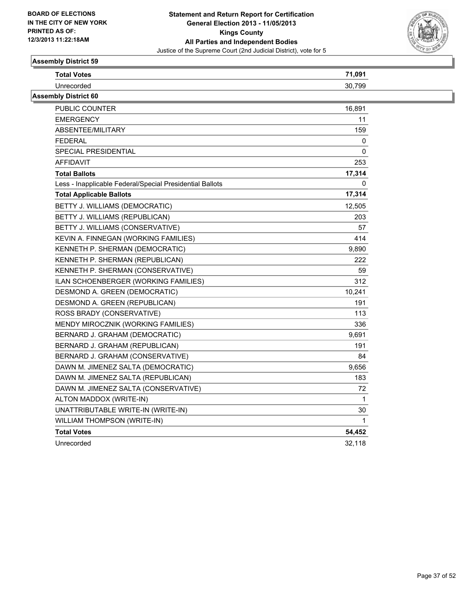

| <b>Total Votes</b>                                       | 71,091       |
|----------------------------------------------------------|--------------|
| Unrecorded                                               | 30.799       |
| <b>Assembly District 60</b>                              |              |
| <b>PUBLIC COUNTER</b>                                    | 16,891       |
| <b>EMERGENCY</b>                                         | 11           |
| ABSENTEE/MILITARY                                        | 159          |
| <b>FEDERAL</b>                                           | 0            |
| SPECIAL PRESIDENTIAL                                     | 0            |
| <b>AFFIDAVIT</b>                                         | 253          |
| <b>Total Ballots</b>                                     | 17,314       |
| Less - Inapplicable Federal/Special Presidential Ballots | 0            |
| <b>Total Applicable Ballots</b>                          | 17,314       |
| BETTY J. WILLIAMS (DEMOCRATIC)                           | 12,505       |
| BETTY J. WILLIAMS (REPUBLICAN)                           | 203          |
| BETTY J. WILLIAMS (CONSERVATIVE)                         | 57           |
| KEVIN A. FINNEGAN (WORKING FAMILIES)                     | 414          |
| KENNETH P. SHERMAN (DEMOCRATIC)                          | 9,890        |
| KENNETH P. SHERMAN (REPUBLICAN)                          | 222          |
| KENNETH P. SHERMAN (CONSERVATIVE)                        | 59           |
| ILAN SCHOENBERGER (WORKING FAMILIES)                     | 312          |
| DESMOND A. GREEN (DEMOCRATIC)                            | 10,241       |
| DESMOND A. GREEN (REPUBLICAN)                            | 191          |
| ROSS BRADY (CONSERVATIVE)                                | 113          |
| MENDY MIROCZNIK (WORKING FAMILIES)                       | 336          |
| BERNARD J. GRAHAM (DEMOCRATIC)                           | 9,691        |
| BERNARD J. GRAHAM (REPUBLICAN)                           | 191          |
| BERNARD J. GRAHAM (CONSERVATIVE)                         | 84           |
| DAWN M. JIMENEZ SALTA (DEMOCRATIC)                       | 9,656        |
| DAWN M. JIMENEZ SALTA (REPUBLICAN)                       | 183          |
| DAWN M. JIMENEZ SALTA (CONSERVATIVE)                     | 72           |
| ALTON MADDOX (WRITE-IN)                                  | $\mathbf{1}$ |
| UNATTRIBUTABLE WRITE-IN (WRITE-IN)                       | 30           |
| WILLIAM THOMPSON (WRITE-IN)                              | 1            |
| <b>Total Votes</b>                                       | 54,452       |
| Unrecorded                                               | 32,118       |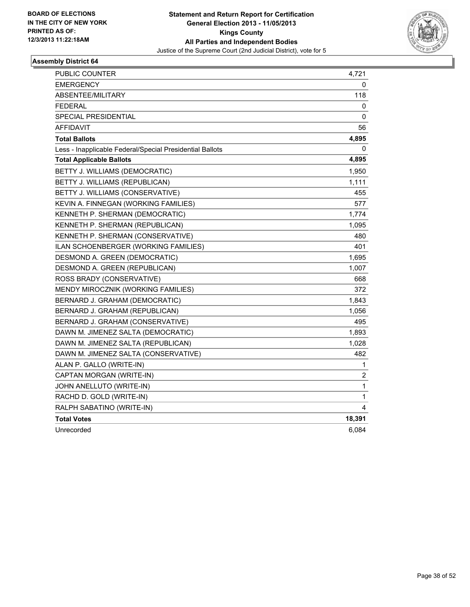

| PUBLIC COUNTER                                           | 4,721  |
|----------------------------------------------------------|--------|
| <b>EMERGENCY</b>                                         | 0      |
| <b>ABSENTEE/MILITARY</b>                                 | 118    |
| <b>FEDERAL</b>                                           | 0      |
| SPECIAL PRESIDENTIAL                                     | 0      |
| AFFIDAVIT                                                | 56     |
| <b>Total Ballots</b>                                     | 4,895  |
| Less - Inapplicable Federal/Special Presidential Ballots | 0      |
| <b>Total Applicable Ballots</b>                          | 4,895  |
| BETTY J. WILLIAMS (DEMOCRATIC)                           | 1,950  |
| BETTY J. WILLIAMS (REPUBLICAN)                           | 1,111  |
| BETTY J. WILLIAMS (CONSERVATIVE)                         | 455    |
| KEVIN A. FINNEGAN (WORKING FAMILIES)                     | 577    |
| KENNETH P. SHERMAN (DEMOCRATIC)                          | 1,774  |
| KENNETH P. SHERMAN (REPUBLICAN)                          | 1,095  |
| KENNETH P. SHERMAN (CONSERVATIVE)                        | 480    |
| ILAN SCHOENBERGER (WORKING FAMILIES)                     | 401    |
| DESMOND A. GREEN (DEMOCRATIC)                            | 1,695  |
| DESMOND A. GREEN (REPUBLICAN)                            | 1,007  |
| ROSS BRADY (CONSERVATIVE)                                | 668    |
| MENDY MIROCZNIK (WORKING FAMILIES)                       | 372    |
| BERNARD J. GRAHAM (DEMOCRATIC)                           | 1,843  |
| BERNARD J. GRAHAM (REPUBLICAN)                           | 1,056  |
| BERNARD J. GRAHAM (CONSERVATIVE)                         | 495    |
| DAWN M. JIMENEZ SALTA (DEMOCRATIC)                       | 1,893  |
| DAWN M. JIMENEZ SALTA (REPUBLICAN)                       | 1,028  |
| DAWN M. JIMENEZ SALTA (CONSERVATIVE)                     | 482    |
| ALAN P. GALLO (WRITE-IN)                                 | 1      |
| CAPTAN MORGAN (WRITE-IN)                                 | 2      |
| JOHN ANELLUTO (WRITE-IN)                                 | 1      |
| RACHD D. GOLD (WRITE-IN)                                 | 1      |
| RALPH SABATINO (WRITE-IN)                                | 4      |
| <b>Total Votes</b>                                       | 18,391 |
| Unrecorded                                               | 6,084  |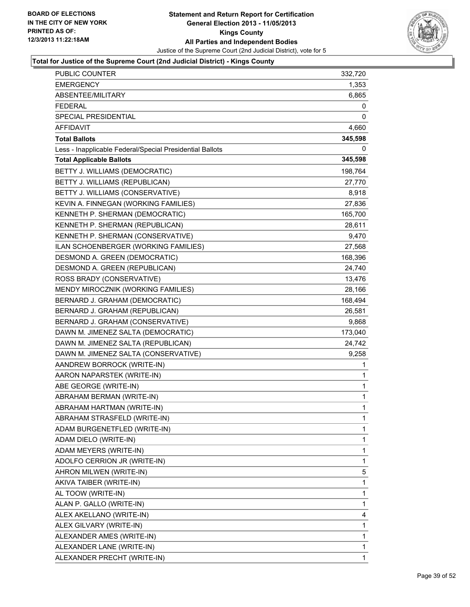

| <b>PUBLIC COUNTER</b>                                    | 332,720     |
|----------------------------------------------------------|-------------|
| <b>EMERGENCY</b>                                         | 1,353       |
| ABSENTEE/MILITARY                                        | 6,865       |
| <b>FEDERAL</b>                                           | 0           |
| SPECIAL PRESIDENTIAL                                     | 0           |
| <b>AFFIDAVIT</b>                                         | 4,660       |
| <b>Total Ballots</b>                                     | 345,598     |
| Less - Inapplicable Federal/Special Presidential Ballots | 0           |
| <b>Total Applicable Ballots</b>                          | 345,598     |
| BETTY J. WILLIAMS (DEMOCRATIC)                           | 198,764     |
| BETTY J. WILLIAMS (REPUBLICAN)                           | 27,770      |
| BETTY J. WILLIAMS (CONSERVATIVE)                         | 8,918       |
| KEVIN A. FINNEGAN (WORKING FAMILIES)                     | 27,836      |
| KENNETH P. SHERMAN (DEMOCRATIC)                          | 165,700     |
| KENNETH P. SHERMAN (REPUBLICAN)                          | 28,611      |
| KENNETH P. SHERMAN (CONSERVATIVE)                        | 9,470       |
| ILAN SCHOENBERGER (WORKING FAMILIES)                     | 27,568      |
| DESMOND A. GREEN (DEMOCRATIC)                            | 168,396     |
| DESMOND A. GREEN (REPUBLICAN)                            | 24,740      |
| ROSS BRADY (CONSERVATIVE)                                | 13,476      |
| MENDY MIROCZNIK (WORKING FAMILIES)                       | 28,166      |
| BERNARD J. GRAHAM (DEMOCRATIC)                           | 168,494     |
| BERNARD J. GRAHAM (REPUBLICAN)                           | 26,581      |
| BERNARD J. GRAHAM (CONSERVATIVE)                         | 9,868       |
| DAWN M. JIMENEZ SALTA (DEMOCRATIC)                       | 173,040     |
| DAWN M. JIMENEZ SALTA (REPUBLICAN)                       | 24,742      |
| DAWN M. JIMENEZ SALTA (CONSERVATIVE)                     | 9,258       |
| AANDREW BORROCK (WRITE-IN)                               | 1           |
| AARON NAPARSTEK (WRITE-IN)                               | 1           |
| ABE GEORGE (WRITE-IN)                                    | 1           |
| ABRAHAM BERMAN (WRITE-IN)                                | 1           |
| ABRAHAM HARTMAN (WRITE-IN)                               | $\mathbf 1$ |
| ABRAHAM STRASFELD (WRITE-IN)                             | 1           |
| ADAM BURGENETFLED (WRITE-IN)                             | 1           |
| ADAM DIELO (WRITE-IN)                                    | 1           |
| ADAM MEYERS (WRITE-IN)                                   | 1           |
| ADOLFO CERRION JR (WRITE-IN)                             | 1           |
| AHRON MILWEN (WRITE-IN)                                  | 5           |
| AKIVA TAIBER (WRITE-IN)                                  | 1           |
| AL TOOW (WRITE-IN)                                       | 1           |
| ALAN P. GALLO (WRITE-IN)                                 | 1           |
| ALEX AKELLANO (WRITE-IN)                                 | 4           |
| ALEX GILVARY (WRITE-IN)                                  | 1           |
| ALEXANDER AMES (WRITE-IN)                                | 1           |
| ALEXANDER LANE (WRITE-IN)                                | 1           |
| ALEXANDER PRECHT (WRITE-IN)                              | 1           |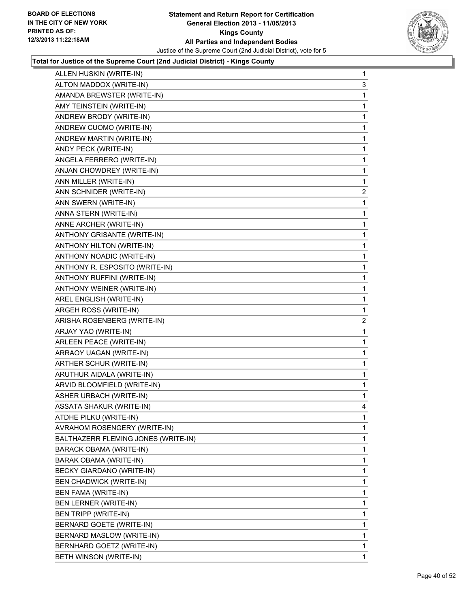

| ALLEN HUSKIN (WRITE-IN)             | 1                         |
|-------------------------------------|---------------------------|
| ALTON MADDOX (WRITE-IN)             | 3                         |
| AMANDA BREWSTER (WRITE-IN)          | 1                         |
| AMY TEINSTEIN (WRITE-IN)            | 1                         |
| ANDREW BRODY (WRITE-IN)             | 1                         |
| ANDREW CUOMO (WRITE-IN)             | 1                         |
| ANDREW MARTIN (WRITE-IN)            | 1                         |
| ANDY PECK (WRITE-IN)                | 1                         |
|                                     | 1                         |
| ANJAN CHOWDREY (WRITE-IN)           | 1                         |
| ANN MILLER (WRITE-IN)               | 1                         |
| ANN SCHNIDER (WRITE-IN)             | $\overline{c}$            |
| ANN SWERN (WRITE-IN)                | 1                         |
| ANNA STERN (WRITE-IN)               | 1                         |
| ANNE ARCHER (WRITE-IN)              | 1                         |
| ANTHONY GRISANTE (WRITE-IN)         | 1                         |
| ANTHONY HILTON (WRITE-IN)           | 1                         |
| ANTHONY NOADIC (WRITE-IN)           | 1                         |
| ANTHONY R. ESPOSITO (WRITE-IN)      | 1                         |
| ANTHONY RUFFINI (WRITE-IN)          | 1                         |
| ANTHONY WEINER (WRITE-IN)           | 1                         |
| AREL ENGLISH (WRITE-IN)             | 1                         |
| ARGEH ROSS (WRITE-IN)               | 1                         |
| ARISHA ROSENBERG (WRITE-IN)         | $\mathbf{2}$              |
| ARJAY YAO (WRITE-IN)                | 1                         |
| ARLEEN PEACE (WRITE-IN)             | 1                         |
| ARRAOY UAGAN (WRITE-IN)             | 1                         |
|                                     |                           |
| ARTHER SCHUR (WRITE-IN)             | 1                         |
| ARUTHUR AIDALA (WRITE-IN)           | 1                         |
| ARVID BLOOMFIELD (WRITE-IN)         | 1                         |
| ASHER URBACH (WRITE-IN)             | 1                         |
| <b>ASSATA SHAKUR (WRITE-IN)</b>     | 4                         |
| ATDHE PILKU (WRITE-IN)              | 1                         |
| AVRAHOM ROSENGERY (WRITE-IN)        | 1                         |
| BALTHAZERR FLEMING JONES (WRITE-IN) | 1                         |
| <b>BARACK OBAMA (WRITE-IN)</b>      | 1                         |
| BARAK OBAMA (WRITE-IN)              | 1                         |
| BECKY GIARDANO (WRITE-IN)           | 1                         |
| <b>BEN CHADWICK (WRITE-IN)</b>      | 1                         |
| BEN FAMA (WRITE-IN)                 | 1                         |
| <b>BEN LERNER (WRITE-IN)</b>        | 1                         |
| BEN TRIPP (WRITE-IN)                | 1                         |
| BERNARD GOETE (WRITE-IN)            | 1                         |
| BERNARD MASLOW (WRITE-IN)           | 1                         |
| BERNHARD GOETZ (WRITE-IN)           | 1                         |
|                                     | ANGELA FERRERO (WRITE-IN) |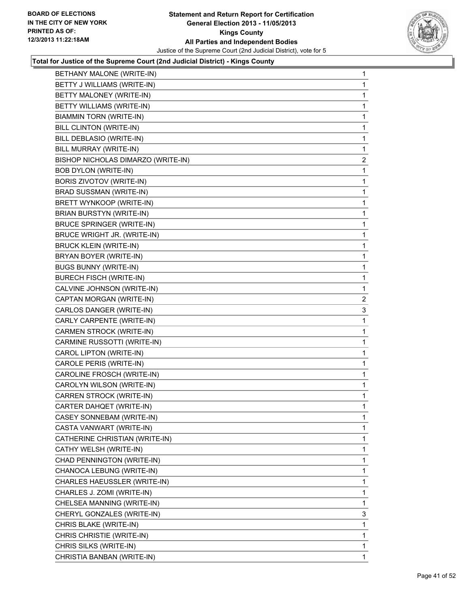

| BETHANY MALONE (WRITE-IN)          | 1                       |
|------------------------------------|-------------------------|
| BETTY J WILLIAMS (WRITE-IN)        | 1                       |
| BETTY MALONEY (WRITE-IN)           | 1                       |
| BETTY WILLIAMS (WRITE-IN)          | 1                       |
| BIAMMIN TORN (WRITE-IN)            | 1                       |
| BILL CLINTON (WRITE-IN)            | 1                       |
| BILL DEBLASIO (WRITE-IN)           | 1                       |
| BILL MURRAY (WRITE-IN)             | 1                       |
| BISHOP NICHOLAS DIMARZO (WRITE-IN) | $\overline{\mathbf{c}}$ |
| <b>BOB DYLON (WRITE-IN)</b>        | 1                       |
| BORIS ZIVOTOV (WRITE-IN)           | 1                       |
| BRAD SUSSMAN (WRITE-IN)            | 1                       |
| BRETT WYNKOOP (WRITE-IN)           | 1                       |
| BRIAN BURSTYN (WRITE-IN)           | 1                       |
| <b>BRUCE SPRINGER (WRITE-IN)</b>   | 1                       |
| BRUCE WRIGHT JR. (WRITE-IN)        | 1                       |
| <b>BRUCK KLEIN (WRITE-IN)</b>      | 1                       |
| BRYAN BOYER (WRITE-IN)             | 1                       |
| <b>BUGS BUNNY (WRITE-IN)</b>       | 1                       |
| <b>BURECH FISCH (WRITE-IN)</b>     | 1                       |
| CALVINE JOHNSON (WRITE-IN)         | 1                       |
| CAPTAN MORGAN (WRITE-IN)           | $\overline{2}$          |
| CARLOS DANGER (WRITE-IN)           | 3                       |
| CARLY CARPENTE (WRITE-IN)          | 1                       |
| CARMEN STROCK (WRITE-IN)           | 1                       |
| CARMINE RUSSOTTI (WRITE-IN)        | 1                       |
| CAROL LIPTON (WRITE-IN)            | 1                       |
| CAROLE PERIS (WRITE-IN)            | 1                       |
| CAROLINE FROSCH (WRITE-IN)         | 1                       |
| CAROLYN WILSON (WRITE-IN)          | 1                       |
| CARREN STROCK (WRITE-IN)           | 1                       |
| CARTER DAHQET (WRITE-IN)           | 1                       |
| CASEY SONNEBAM (WRITE-IN)          | 1                       |
| CASTA VANWART (WRITE-IN)           | $\mathbf{1}$            |
| CATHERINE CHRISTIAN (WRITE-IN)     | 1                       |
| CATHY WELSH (WRITE-IN)             | 1                       |
| CHAD PENNINGTON (WRITE-IN)         | 1                       |
| CHANOCA LEBUNG (WRITE-IN)          | 1                       |
| CHARLES HAEUSSLER (WRITE-IN)       | 1                       |
| CHARLES J. ZOMI (WRITE-IN)         | 1                       |
| CHELSEA MANNING (WRITE-IN)         | 1                       |
| CHERYL GONZALES (WRITE-IN)         | 3                       |
| CHRIS BLAKE (WRITE-IN)             | 1                       |
| CHRIS CHRISTIE (WRITE-IN)          | 1                       |
| CHRIS SILKS (WRITE-IN)             | 1                       |
| CHRISTIA BANBAN (WRITE-IN)         | $\mathbf 1$             |
|                                    |                         |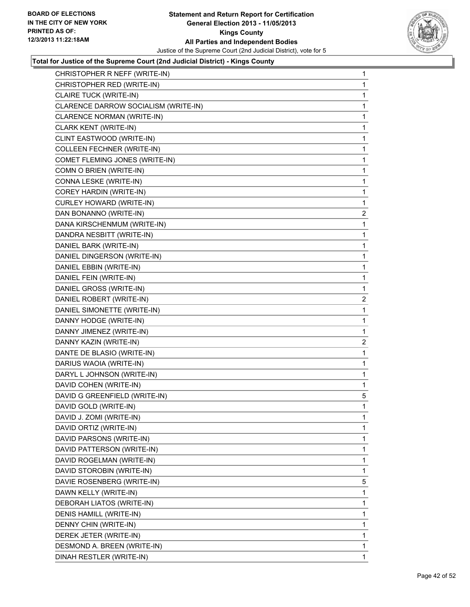

| CHRISTOPHER R NEFF (WRITE-IN)        | 1              |
|--------------------------------------|----------------|
| CHRISTOPHER RED (WRITE-IN)           | 1              |
| CLAIRE TUCK (WRITE-IN)               | 1              |
| CLARENCE DARROW SOCIALISM (WRITE-IN) | 1              |
| CLARENCE NORMAN (WRITE-IN)           | 1              |
| CLARK KENT (WRITE-IN)                | 1              |
| CLINT EASTWOOD (WRITE-IN)            | 1              |
| <b>COLLEEN FECHNER (WRITE-IN)</b>    | 1              |
| COMET FLEMING JONES (WRITE-IN)       | 1              |
| COMN O BRIEN (WRITE-IN)              | 1              |
| CONNA LESKE (WRITE-IN)               | 1              |
| COREY HARDIN (WRITE-IN)              | 1              |
| <b>CURLEY HOWARD (WRITE-IN)</b>      | 1              |
| DAN BONANNO (WRITE-IN)               | 2              |
| DANA KIRSCHENMUM (WRITE-IN)          | 1              |
| DANDRA NESBITT (WRITE-IN)            | 1              |
| DANIEL BARK (WRITE-IN)               | 1              |
| DANIEL DINGERSON (WRITE-IN)          | 1              |
| DANIEL EBBIN (WRITE-IN)              | 1              |
| DANIEL FEIN (WRITE-IN)               | 1              |
| DANIEL GROSS (WRITE-IN)              | 1              |
| DANIEL ROBERT (WRITE-IN)             | $\overline{2}$ |
| DANIEL SIMONETTE (WRITE-IN)          | 1              |
| DANNY HODGE (WRITE-IN)               | 1              |
| DANNY JIMENEZ (WRITE-IN)             | 1              |
| DANNY KAZIN (WRITE-IN)               | 2              |
| DANTE DE BLASIO (WRITE-IN)           | 1              |
| DARIUS WAOIA (WRITE-IN)              | 1              |
| DARYL L JOHNSON (WRITE-IN)           | 1              |
| DAVID COHEN (WRITE-IN)               | 1              |
| DAVID G GREENFIELD (WRITE-IN)        | 5              |
| DAVID GOLD (WRITE-IN)                | 1              |
| DAVID J. ZOMI (WRITE-IN)             | 1              |
| DAVID ORTIZ (WRITE-IN)               | 1              |
| DAVID PARSONS (WRITE-IN)             | 1              |
| DAVID PATTERSON (WRITE-IN)           | 1              |
| DAVID ROGELMAN (WRITE-IN)            | 1              |
| DAVID STOROBIN (WRITE-IN)            | 1              |
| DAVIE ROSENBERG (WRITE-IN)           | 5              |
| DAWN KELLY (WRITE-IN)                | 1              |
| DEBORAH LIATOS (WRITE-IN)            | 1              |
| DENIS HAMILL (WRITE-IN)              | 1              |
| DENNY CHIN (WRITE-IN)                | 1              |
| DEREK JETER (WRITE-IN)               | 1              |
| DESMOND A. BREEN (WRITE-IN)          | 1              |
| DINAH RESTLER (WRITE-IN)             | 1              |
|                                      |                |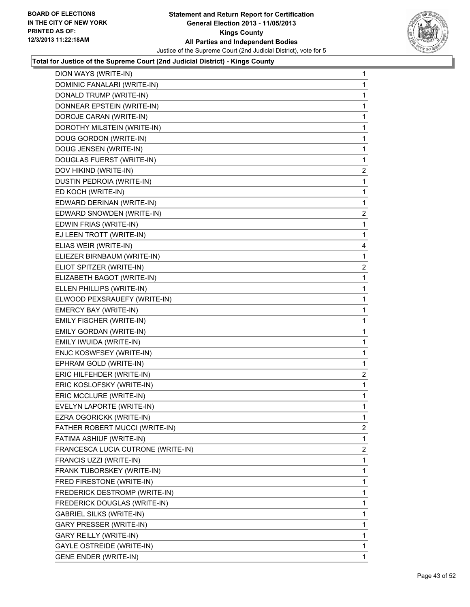

| DION WAYS (WRITE-IN)               | 1                       |
|------------------------------------|-------------------------|
| DOMINIC FANALARI (WRITE-IN)        | 1                       |
| DONALD TRUMP (WRITE-IN)            | 1                       |
| DONNEAR EPSTEIN (WRITE-IN)         | 1                       |
| DOROJE CARAN (WRITE-IN)            | 1                       |
| DOROTHY MILSTEIN (WRITE-IN)        | 1                       |
| DOUG GORDON (WRITE-IN)             | 1                       |
| DOUG JENSEN (WRITE-IN)             | 1                       |
| DOUGLAS FUERST (WRITE-IN)          | 1                       |
| DOV HIKIND (WRITE-IN)              | $\overline{\mathbf{c}}$ |
| DUSTIN PEDROIA (WRITE-IN)          | 1                       |
| ED KOCH (WRITE-IN)                 | 1                       |
| EDWARD DERINAN (WRITE-IN)          | 1                       |
| EDWARD SNOWDEN (WRITE-IN)          | $\overline{a}$          |
| EDWIN FRIAS (WRITE-IN)             | 1                       |
| EJ LEEN TROTT (WRITE-IN)           | 1                       |
| ELIAS WEIR (WRITE-IN)              | 4                       |
| ELIEZER BIRNBAUM (WRITE-IN)        | 1                       |
| ELIOT SPITZER (WRITE-IN)           | $\overline{2}$          |
| ELIZABETH BAGOT (WRITE-IN)         | 1                       |
| ELLEN PHILLIPS (WRITE-IN)          | 1                       |
| ELWOOD PEXSRAUEFY (WRITE-IN)       | 1                       |
| EMERCY BAY (WRITE-IN)              | 1                       |
| EMILY FISCHER (WRITE-IN)           | 1                       |
| EMILY GORDAN (WRITE-IN)            | 1                       |
| EMILY IWUIDA (WRITE-IN)            | 1                       |
| ENJC KOSWFSEY (WRITE-IN)           | 1                       |
| EPHRAM GOLD (WRITE-IN)             | 1                       |
| ERIC HILFEHDER (WRITE-IN)          | $\overline{a}$          |
| ERIC KOSLOFSKY (WRITE-IN)          | 1                       |
| ERIC MCCLURE (WRITE-IN)            | 1                       |
| EVELYN LAPORTE (WRITE-IN)          | 1                       |
| EZRA OGORICKK (WRITE-IN)           | 1                       |
| FATHER ROBERT MUCCI (WRITE-IN)     | $\overline{2}$          |
| FATIMA ASHIUF (WRITE-IN)           | 1                       |
| FRANCESCA LUCIA CUTRONE (WRITE-IN) | $\overline{2}$          |
| FRANCIS UZZI (WRITE-IN)            | 1                       |
| FRANK TUBORSKEY (WRITE-IN)         | 1                       |
| FRED FIRESTONE (WRITE-IN)          | 1                       |
| FREDERICK DESTROMP (WRITE-IN)      | 1                       |
| FREDERICK DOUGLAS (WRITE-IN)       | 1                       |
| <b>GABRIEL SILKS (WRITE-IN)</b>    | 1                       |
| <b>GARY PRESSER (WRITE-IN)</b>     | 1                       |
| GARY REILLY (WRITE-IN)             | 1                       |
| <b>GAYLE OSTREIDE (WRITE-IN)</b>   | 1                       |
| <b>GENE ENDER (WRITE-IN)</b>       | 1.                      |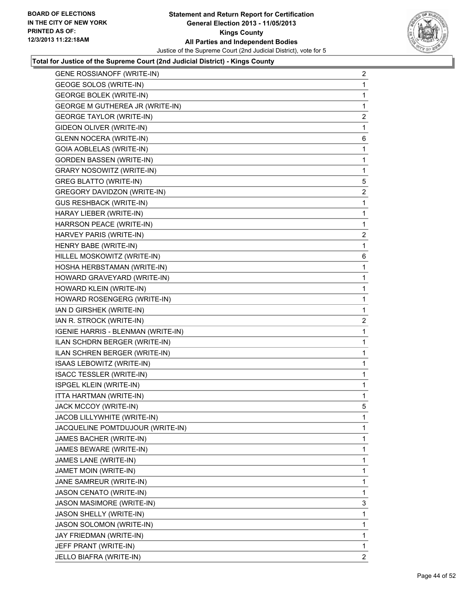

| <b>GENE ROSSIANOFF (WRITE-IN)</b>  | $\overline{a}$ |
|------------------------------------|----------------|
| <b>GEOGE SOLOS (WRITE-IN)</b>      | 1              |
| <b>GEORGE BOLEK (WRITE-IN)</b>     | 1              |
| GEORGE M GUTHEREA JR (WRITE-IN)    | 1              |
| <b>GEORGE TAYLOR (WRITE-IN)</b>    | 2              |
| GIDEON OLIVER (WRITE-IN)           | 1              |
| <b>GLENN NOCERA (WRITE-IN)</b>     | 6              |
| GOIA AOBLELAS (WRITE-IN)           | 1              |
| <b>GORDEN BASSEN (WRITE-IN)</b>    | 1              |
| <b>GRARY NOSOWITZ (WRITE-IN)</b>   | 1              |
| <b>GREG BLATTO (WRITE-IN)</b>      | 5              |
| GREGORY DAVIDZON (WRITE-IN)        | 2              |
| <b>GUS RESHBACK (WRITE-IN)</b>     | 1              |
| HARAY LIEBER (WRITE-IN)            | 1              |
| HARRSON PEACE (WRITE-IN)           | 1              |
| HARVEY PARIS (WRITE-IN)            | $\overline{a}$ |
| HENRY BABE (WRITE-IN)              | 1              |
| HILLEL MOSKOWITZ (WRITE-IN)        | 6              |
| HOSHA HERBSTAMAN (WRITE-IN)        | 1              |
| HOWARD GRAVEYARD (WRITE-IN)        | 1              |
| HOWARD KLEIN (WRITE-IN)            | 1              |
| HOWARD ROSENGERG (WRITE-IN)        | 1              |
| IAN D GIRSHEK (WRITE-IN)           | 1              |
| IAN R. STROCK (WRITE-IN)           | $\mathbf{2}$   |
| IGENIE HARRIS - BLENMAN (WRITE-IN) | 1              |
| ILAN SCHDRN BERGER (WRITE-IN)      | 1              |
| ILAN SCHREN BERGER (WRITE-IN)      | 1              |
| ISAAS LEBOWITZ (WRITE-IN)          | 1              |
| <b>ISACC TESSLER (WRITE-IN)</b>    | 1              |
| ISPGEL KLEIN (WRITE-IN)            | 1              |
| ITTA HARTMAN (WRITE-IN)            | 1              |
| JACK MCCOY (WRITE-IN)              | 5              |
| JACOB LILLYWHITE (WRITE-IN)        | 1              |
| JACQUELINE POMTDUJOUR (WRITE-IN)   | 1              |
| JAMES BACHER (WRITE-IN)            | 1              |
| JAMES BEWARE (WRITE-IN)            | 1              |
| JAMES LANE (WRITE-IN)              | 1              |
| JAMET MOIN (WRITE-IN)              | 1              |
| JANE SAMREUR (WRITE-IN)            | 1              |
| JASON CENATO (WRITE-IN)            | 1              |
| JASON MASIMORE (WRITE-IN)          | 3              |
| JASON SHELLY (WRITE-IN)            | 1              |
| JASON SOLOMON (WRITE-IN)           | 1              |
| JAY FRIEDMAN (WRITE-IN)            | 1              |
| JEFF PRANT (WRITE-IN)              | 1              |
| JELLO BIAFRA (WRITE-IN)            | $\overline{2}$ |
|                                    |                |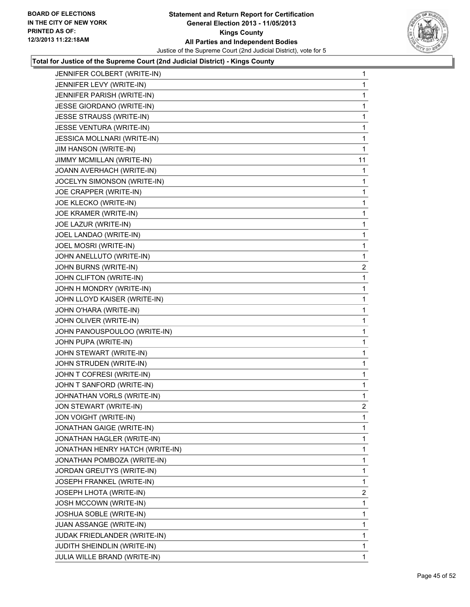

| JENNIFER COLBERT (WRITE-IN)     | 1              |
|---------------------------------|----------------|
| JENNIFER LEVY (WRITE-IN)        | 1              |
| JENNIFER PARISH (WRITE-IN)      | 1              |
| JESSE GIORDANO (WRITE-IN)       | 1              |
| <b>JESSE STRAUSS (WRITE-IN)</b> | 1              |
| JESSE VENTURA (WRITE-IN)        | 1              |
| JESSICA MOLLNARI (WRITE-IN)     | 1              |
| JIM HANSON (WRITE-IN)           | 1              |
| JIMMY MCMILLAN (WRITE-IN)       | 11             |
| JOANN AVERHACH (WRITE-IN)       | 1              |
| JOCELYN SIMONSON (WRITE-IN)     | 1              |
| JOE CRAPPER (WRITE-IN)          | 1              |
| JOE KLECKO (WRITE-IN)           | 1              |
| JOE KRAMER (WRITE-IN)           | 1              |
| JOE LAZUR (WRITE-IN)            | 1              |
| JOEL LANDAO (WRITE-IN)          | 1              |
| JOEL MOSRI (WRITE-IN)           | 1              |
| JOHN ANELLUTO (WRITE-IN)        | 1              |
| JOHN BURNS (WRITE-IN)           | 2              |
| JOHN CLIFTON (WRITE-IN)         | 1              |
| JOHN H MONDRY (WRITE-IN)        | 1              |
| JOHN LLOYD KAISER (WRITE-IN)    | 1              |
| JOHN O'HARA (WRITE-IN)          | 1              |
| JOHN OLIVER (WRITE-IN)          | 1              |
| JOHN PANOUSPOULOO (WRITE-IN)    | 1              |
| JOHN PUPA (WRITE-IN)            | 1              |
| JOHN STEWART (WRITE-IN)         | 1              |
| JOHN STRUDEN (WRITE-IN)         | 1              |
| JOHN T COFRESI (WRITE-IN)       | 1              |
| JOHN T SANFORD (WRITE-IN)       | 1              |
| JOHNATHAN VORLS (WRITE-IN)      | 1              |
| JON STEWART (WRITE-IN)          | 2              |
| <b>JON VOIGHT (WRITE-IN)</b>    | 1              |
| JONATHAN GAIGE (WRITE-IN)       | 1              |
| JONATHAN HAGLER (WRITE-IN)      | 1              |
| JONATHAN HENRY HATCH (WRITE-IN) | 1              |
| JONATHAN POMBOZA (WRITE-IN)     | 1              |
| JORDAN GREUTYS (WRITE-IN)       | 1              |
| JOSEPH FRANKEL (WRITE-IN)       | 1              |
| JOSEPH LHOTA (WRITE-IN)         | $\overline{2}$ |
| JOSH MCCOWN (WRITE-IN)          | 1              |
| <b>JOSHUA SOBLE (WRITE-IN)</b>  | 1              |
| JUAN ASSANGE (WRITE-IN)         | 1              |
| JUDAK FRIEDLANDER (WRITE-IN)    | 1              |
| JUDITH SHEINDLIN (WRITE-IN)     | 1              |
| JULIA WILLE BRAND (WRITE-IN)    | 1              |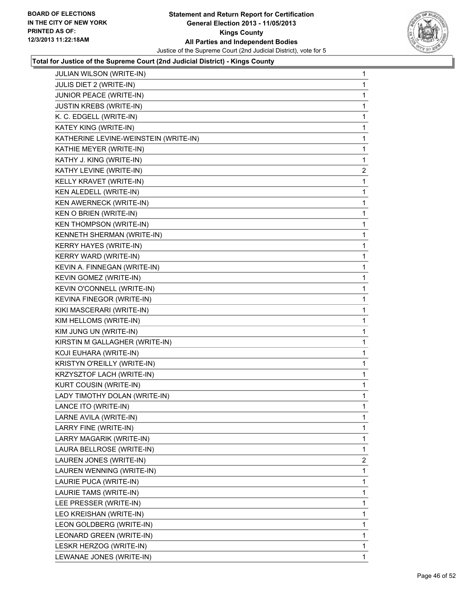

| JULIAN WILSON (WRITE-IN)              | 1              |
|---------------------------------------|----------------|
| JULIS DIET 2 (WRITE-IN)               | 1              |
| JUNIOR PEACE (WRITE-IN)               | 1              |
| <b>JUSTIN KREBS (WRITE-IN)</b>        | 1              |
| K. C. EDGELL (WRITE-IN)               | 1              |
| KATEY KING (WRITE-IN)                 | 1              |
| KATHERINE LEVINE-WEINSTEIN (WRITE-IN) | 1              |
| KATHIE MEYER (WRITE-IN)               | 1              |
| KATHY J. KING (WRITE-IN)              | 1              |
| KATHY LEVINE (WRITE-IN)               | $\overline{2}$ |
| KELLY KRAVET (WRITE-IN)               | 1              |
| KEN ALEDELL (WRITE-IN)                | 1              |
| KEN AWERNECK (WRITE-IN)               | 1              |
| KEN O BRIEN (WRITE-IN)                | 1              |
| KEN THOMPSON (WRITE-IN)               | 1              |
| KENNETH SHERMAN (WRITE-IN)            | 1              |
| KERRY HAYES (WRITE-IN)                | 1              |
| KERRY WARD (WRITE-IN)                 | 1              |
| KEVIN A. FINNEGAN (WRITE-IN)          | 1              |
| KEVIN GOMEZ (WRITE-IN)                | 1              |
| KEVIN O'CONNELL (WRITE-IN)            | 1              |
| KEVINA FINEGOR (WRITE-IN)             | 1              |
| KIKI MASCERARI (WRITE-IN)             | 1              |
| KIM HELLOMS (WRITE-IN)                | 1              |
| KIM JUNG UN (WRITE-IN)                | 1              |
| KIRSTIN M GALLAGHER (WRITE-IN)        | 1              |
| KOJI EUHARA (WRITE-IN)                | 1              |
| KRISTYN O'REILLY (WRITE-IN)           | 1              |
| KRZYSZTOF LACH (WRITE-IN)             | 1              |
| KURT COUSIN (WRITE-IN)                | 1              |
| LADY TIMOTHY DOLAN (WRITE-IN)         | 1              |
| LANCE ITO (WRITE-IN)                  | 1              |
| LARNE AVILA (WRITE-IN)                | 1              |
| LARRY FINE (WRITE-IN)                 | 1              |
| LARRY MAGARIK (WRITE-IN)              | 1              |
| LAURA BELLROSE (WRITE-IN)             | 1              |
| LAUREN JONES (WRITE-IN)               | $\overline{2}$ |
| LAUREN WENNING (WRITE-IN)             | 1              |
| LAURIE PUCA (WRITE-IN)                | 1              |
| LAURIE TAMS (WRITE-IN)                | 1              |
| LEE PRESSER (WRITE-IN)                | 1              |
| LEO KREISHAN (WRITE-IN)               | 1              |
| LEON GOLDBERG (WRITE-IN)              | 1              |
| LEONARD GREEN (WRITE-IN)              | 1              |
| LESKR HERZOG (WRITE-IN)               | 1              |
| LEWANAE JONES (WRITE-IN)              | 1              |
|                                       |                |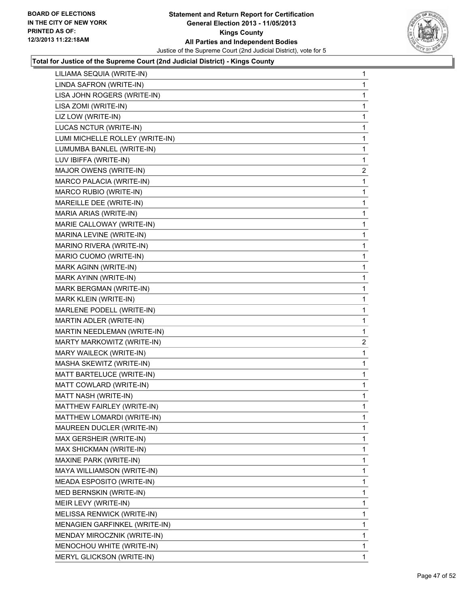

| LILIAMA SEQUIA (WRITE-IN)       | $\mathbf{1}$ |
|---------------------------------|--------------|
| LINDA SAFRON (WRITE-IN)         | 1            |
| LISA JOHN ROGERS (WRITE-IN)     | 1            |
| LISA ZOMI (WRITE-IN)            | 1            |
| LIZ LOW (WRITE-IN)              | 1            |
| LUCAS NCTUR (WRITE-IN)          | 1            |
| LUMI MICHELLE ROLLEY (WRITE-IN) | 1            |
| LUMUMBA BANLEL (WRITE-IN)       | 1            |
| LUV IBIFFA (WRITE-IN)           | 1            |
| MAJOR OWENS (WRITE-IN)          | 2            |
| MARCO PALACIA (WRITE-IN)        | 1            |
| MARCO RUBIO (WRITE-IN)          | 1            |
| MAREILLE DEE (WRITE-IN)         | 1            |
| MARIA ARIAS (WRITE-IN)          | 1            |
| MARIE CALLOWAY (WRITE-IN)       | 1            |
| MARINA LEVINE (WRITE-IN)        | 1            |
| MARINO RIVERA (WRITE-IN)        | 1            |
| MARIO CUOMO (WRITE-IN)          | 1            |
| MARK AGINN (WRITE-IN)           | 1            |
| MARK AYINN (WRITE-IN)           | 1            |
| MARK BERGMAN (WRITE-IN)         | 1            |
| MARK KLEIN (WRITE-IN)           | 1            |
| MARLENE PODELL (WRITE-IN)       | 1            |
| MARTIN ADLER (WRITE-IN)         | 1            |
| MARTIN NEEDLEMAN (WRITE-IN)     | 1            |
| MARTY MARKOWITZ (WRITE-IN)      | 2            |
| MARY WAILECK (WRITE-IN)         | 1            |
| MASHA SKEWITZ (WRITE-IN)        | 1            |
| MATT BARTELUCE (WRITE-IN)       | 1            |
| MATT COWLARD (WRITE-IN)         | 1            |
| MATT NASH (WRITE-IN)            | 1            |
| MATTHEW FAIRLEY (WRITE-IN)      | 1            |
| MATTHEW LOMARDI (WRITE-IN)      | 1            |
| MAUREEN DUCLER (WRITE-IN)       | 1            |
| MAX GERSHEIR (WRITE-IN)         | 1            |
| MAX SHICKMAN (WRITE-IN)         | 1            |
| MAXINE PARK (WRITE-IN)          | 1            |
| MAYA WILLIAMSON (WRITE-IN)      | 1            |
| MEADA ESPOSITO (WRITE-IN)       | 1            |
| MED BERNSKIN (WRITE-IN)         | 1            |
| MEIR LEVY (WRITE-IN)            | 1            |
| MELISSA RENWICK (WRITE-IN)      | 1            |
| MENAGIEN GARFINKEL (WRITE-IN)   | 1            |
| MENDAY MIROCZNIK (WRITE-IN)     | 1            |
| MENOCHOU WHITE (WRITE-IN)       | 1            |
| MERYL GLICKSON (WRITE-IN)       | $\mathbf{1}$ |
|                                 |              |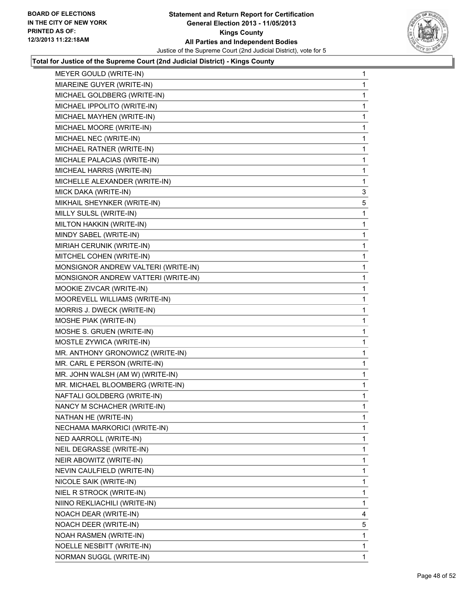

| MEYER GOULD (WRITE-IN)              | 1 |
|-------------------------------------|---|
| MIAREINE GUYER (WRITE-IN)           | 1 |
| MICHAEL GOLDBERG (WRITE-IN)         | 1 |
| MICHAEL IPPOLITO (WRITE-IN)         | 1 |
| MICHAEL MAYHEN (WRITE-IN)           | 1 |
| MICHAEL MOORE (WRITE-IN)            | 1 |
| MICHAEL NEC (WRITE-IN)              | 1 |
| MICHAEL RATNER (WRITE-IN)           | 1 |
| MICHALE PALACIAS (WRITE-IN)         | 1 |
| MICHEAL HARRIS (WRITE-IN)           | 1 |
| MICHELLE ALEXANDER (WRITE-IN)       | 1 |
| MICK DAKA (WRITE-IN)                | 3 |
| MIKHAIL SHEYNKER (WRITE-IN)         | 5 |
| MILLY SULSL (WRITE-IN)              | 1 |
| MILTON HAKKIN (WRITE-IN)            | 1 |
| MINDY SABEL (WRITE-IN)              | 1 |
| MIRIAH CERUNIK (WRITE-IN)           | 1 |
| MITCHEL COHEN (WRITE-IN)            | 1 |
| MONSIGNOR ANDREW VALTERI (WRITE-IN) | 1 |
| MONSIGNOR ANDREW VATTERI (WRITE-IN) | 1 |
| MOOKIE ZIVCAR (WRITE-IN)            | 1 |
| MOOREVELL WILLIAMS (WRITE-IN)       | 1 |
| MORRIS J. DWECK (WRITE-IN)          | 1 |
| MOSHE PIAK (WRITE-IN)               | 1 |
| MOSHE S. GRUEN (WRITE-IN)           | 1 |
| MOSTLE ZYWICA (WRITE-IN)            | 1 |
| MR. ANTHONY GRONOWICZ (WRITE-IN)    | 1 |
| MR. CARL E PERSON (WRITE-IN)        | 1 |
| MR. JOHN WALSH (AM W) (WRITE-IN)    | 1 |
| MR. MICHAEL BLOOMBERG (WRITE-IN)    | 1 |
| NAFTALI GOLDBERG (WRITE-IN)         | 1 |
| NANCY M SCHACHER (WRITE-IN)         | 1 |
| NATHAN HE (WRITE-IN)                | 1 |
| NECHAMA MARKORICI (WRITE-IN)        | 1 |
| NED AARROLL (WRITE-IN)              | 1 |
| NEIL DEGRASSE (WRITE-IN)            | 1 |
| NEIR ABOWITZ (WRITE-IN)             | 1 |
| NEVIN CAULFIELD (WRITE-IN)          | 1 |
| NICOLE SAIK (WRITE-IN)              | 1 |
| NIEL R STROCK (WRITE-IN)            | 1 |
| NIINO REKLIACHILI (WRITE-IN)        | 1 |
| NOACH DEAR (WRITE-IN)               | 4 |
| NOACH DEER (WRITE-IN)               | 5 |
| NOAH RASMEN (WRITE-IN)              | 1 |
| NOELLE NESBITT (WRITE-IN)           | 1 |
| NORMAN SUGGL (WRITE-IN)             | 1 |
|                                     |   |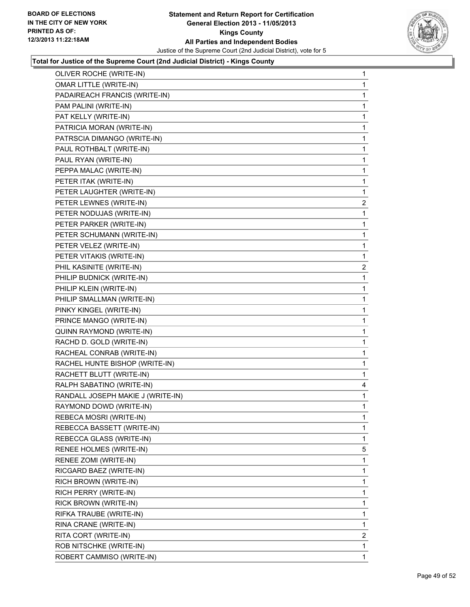

| OLIVER ROCHE (WRITE-IN)           | 1              |
|-----------------------------------|----------------|
| <b>OMAR LITTLE (WRITE-IN)</b>     | 1              |
| PADAIREACH FRANCIS (WRITE-IN)     | 1              |
| PAM PALINI (WRITE-IN)             | 1              |
| PAT KELLY (WRITE-IN)              | 1              |
| PATRICIA MORAN (WRITE-IN)         | 1              |
| PATRSCIA DIMANGO (WRITE-IN)       | 1              |
| PAUL ROTHBALT (WRITE-IN)          | 1              |
| PAUL RYAN (WRITE-IN)              | 1              |
| PEPPA MALAC (WRITE-IN)            | 1              |
| PETER ITAK (WRITE-IN)             | 1              |
| PETER LAUGHTER (WRITE-IN)         | 1              |
| PETER LEWNES (WRITE-IN)           | $\overline{2}$ |
| PETER NODUJAS (WRITE-IN)          | 1              |
| PETER PARKER (WRITE-IN)           | 1              |
| PETER SCHUMANN (WRITE-IN)         | 1              |
| PETER VELEZ (WRITE-IN)            | 1              |
| PETER VITAKIS (WRITE-IN)          | 1              |
| PHIL KASINITE (WRITE-IN)          | $\overline{2}$ |
| PHILIP BUDNICK (WRITE-IN)         | 1              |
| PHILIP KLEIN (WRITE-IN)           | 1              |
| PHILIP SMALLMAN (WRITE-IN)        | 1              |
| PINKY KINGEL (WRITE-IN)           | 1              |
| PRINCE MANGO (WRITE-IN)           | 1              |
| QUINN RAYMOND (WRITE-IN)          | 1              |
| RACHD D. GOLD (WRITE-IN)          | 1              |
| RACHEAL CONRAB (WRITE-IN)         | 1              |
| RACHEL HUNTE BISHOP (WRITE-IN)    | 1              |
| RACHETT BLUTT (WRITE-IN)          | 1              |
| RALPH SABATINO (WRITE-IN)         | 4              |
| RANDALL JOSEPH MAKIE J (WRITE-IN) | 1              |
| RAYMOND DOWD (WRITE-IN)           | 1              |
| REBECA MOSRI (WRITE-IN)           | 1              |
| REBECCA BASSETT (WRITE-IN)        | 1              |
| REBECCA GLASS (WRITE-IN)          | 1              |
| RENEE HOLMES (WRITE-IN)           | 5              |
| RENEE ZOMI (WRITE-IN)             | 1              |
| RICGARD BAEZ (WRITE-IN)           | 1              |
| RICH BROWN (WRITE-IN)             | 1              |
| RICH PERRY (WRITE-IN)             | 1              |
| RICK BROWN (WRITE-IN)             | 1              |
| RIFKA TRAUBE (WRITE-IN)           | 1              |
| RINA CRANE (WRITE-IN)             | 1              |
| RITA CORT (WRITE-IN)              | $\overline{2}$ |
| ROB NITSCHKE (WRITE-IN)           | 1              |
| ROBERT CAMMISO (WRITE-IN)         | 1              |
|                                   |                |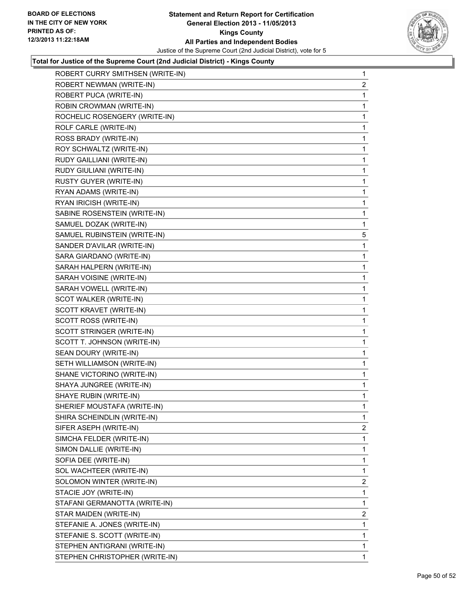

| ROBERT CURRY SMITHSEN (WRITE-IN) | $\mathbf 1$    |
|----------------------------------|----------------|
| ROBERT NEWMAN (WRITE-IN)         | $\overline{2}$ |
| ROBERT PUCA (WRITE-IN)           | 1              |
| ROBIN CROWMAN (WRITE-IN)         | 1              |
| ROCHELIC ROSENGERY (WRITE-IN)    | 1              |
| ROLF CARLE (WRITE-IN)            | 1              |
| ROSS BRADY (WRITE-IN)            | 1              |
| ROY SCHWALTZ (WRITE-IN)          | 1              |
| RUDY GAILLIANI (WRITE-IN)        | 1              |
| RUDY GIULIANI (WRITE-IN)         | 1              |
| RUSTY GUYER (WRITE-IN)           | 1              |
| RYAN ADAMS (WRITE-IN)            | 1              |
| RYAN IRICISH (WRITE-IN)          | 1              |
| SABINE ROSENSTEIN (WRITE-IN)     | 1              |
| SAMUEL DOZAK (WRITE-IN)          | 1              |
| SAMUEL RUBINSTEIN (WRITE-IN)     | 5              |
| SANDER D'AVILAR (WRITE-IN)       | 1              |
| SARA GIARDANO (WRITE-IN)         | 1              |
| SARAH HALPERN (WRITE-IN)         | 1              |
| SARAH VOISINE (WRITE-IN)         | 1              |
| SARAH VOWELL (WRITE-IN)          | 1              |
| SCOT WALKER (WRITE-IN)           | 1              |
| SCOTT KRAVET (WRITE-IN)          | 1              |
| SCOTT ROSS (WRITE-IN)            | 1              |
| SCOTT STRINGER (WRITE-IN)        | 1              |
| SCOTT T. JOHNSON (WRITE-IN)      | 1              |
| SEAN DOURY (WRITE-IN)            | 1              |
| SETH WILLIAMSON (WRITE-IN)       | 1              |
| SHANE VICTORINO (WRITE-IN)       | 1              |
| SHAYA JUNGREE (WRITE-IN)         | 1              |
| SHAYE RUBIN (WRITE-IN)           | 1              |
| SHERIEF MOUSTAFA (WRITE-IN)      | 1              |
| SHIRA SCHEINDLIN (WRITE-IN)      | 1              |
| SIFER ASEPH (WRITE-IN)           | $\mathbf{2}$   |
| SIMCHA FELDER (WRITE-IN)         | 1              |
| SIMON DALLIE (WRITE-IN)          | 1              |
| SOFIA DEE (WRITE-IN)             | 1              |
| SOL WACHTEER (WRITE-IN)          | 1              |
| SOLOMON WINTER (WRITE-IN)        | 2              |
| STACIE JOY (WRITE-IN)            | 1              |
| STAFANI GERMANOTTA (WRITE-IN)    | 1              |
| STAR MAIDEN (WRITE-IN)           | $\overline{2}$ |
| STEFANIE A. JONES (WRITE-IN)     | 1              |
| STEFANIE S. SCOTT (WRITE-IN)     | 1              |
| STEPHEN ANTIGRANI (WRITE-IN)     | 1              |
| STEPHEN CHRISTOPHER (WRITE-IN)   | 1              |
|                                  |                |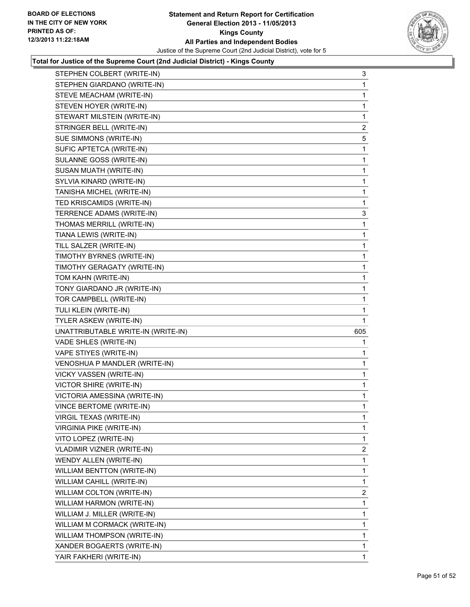

| STEPHEN COLBERT (WRITE-IN)         | 3              |
|------------------------------------|----------------|
| STEPHEN GIARDANO (WRITE-IN)        | 1              |
| STEVE MEACHAM (WRITE-IN)           | 1              |
| STEVEN HOYER (WRITE-IN)            | 1              |
| STEWART MILSTEIN (WRITE-IN)        | 1              |
| STRINGER BELL (WRITE-IN)           | 2              |
| SUE SIMMONS (WRITE-IN)             | 5              |
| SUFIC APTETCA (WRITE-IN)           | 1              |
| SULANNE GOSS (WRITE-IN)            | 1              |
| SUSAN MUATH (WRITE-IN)             | 1              |
| SYLVIA KINARD (WRITE-IN)           | 1              |
| TANISHA MICHEL (WRITE-IN)          | 1              |
| TED KRISCAMIDS (WRITE-IN)          | 1              |
| TERRENCE ADAMS (WRITE-IN)          | 3              |
| THOMAS MERRILL (WRITE-IN)          | 1              |
| TIANA LEWIS (WRITE-IN)             | 1              |
| TILL SALZER (WRITE-IN)             | 1              |
| TIMOTHY BYRNES (WRITE-IN)          | 1              |
| TIMOTHY GERAGATY (WRITE-IN)        | 1              |
| TOM KAHN (WRITE-IN)                | 1              |
| TONY GIARDANO JR (WRITE-IN)        | 1              |
| TOR CAMPBELL (WRITE-IN)            | 1              |
| TULI KLEIN (WRITE-IN)              | 1              |
| TYLER ASKEW (WRITE-IN)             | 1              |
| UNATTRIBUTABLE WRITE-IN (WRITE-IN) | 605            |
| VADE SHLES (WRITE-IN)              | 1              |
| VAPE STIYES (WRITE-IN)             | 1              |
| VENOSHUA P MANDLER (WRITE-IN)      | 1              |
| VICKY VASSEN (WRITE-IN)            | 1              |
| VICTOR SHIRE (WRITE-IN)            | 1              |
| VICTORIA AMESSINA (WRITE-IN)       | 1.             |
| VINCE BERTOME (WRITE-IN)           | 1              |
| VIRGIL TEXAS (WRITE-IN)            | 1              |
| <b>VIRGINIA PIKE (WRITE-IN)</b>    | 1              |
| VITO LOPEZ (WRITE-IN)              | 1              |
| <b>VLADIMIR VIZNER (WRITE-IN)</b>  | $\overline{2}$ |
| WENDY ALLEN (WRITE-IN)             | 1              |
| <b>WILLIAM BENTTON (WRITE-IN)</b>  | 1              |
| <b>WILLIAM CAHILL (WRITE-IN)</b>   | 1              |
| WILLIAM COLTON (WRITE-IN)          | 2              |
| WILLIAM HARMON (WRITE-IN)          | 1              |
| WILLIAM J. MILLER (WRITE-IN)       | 1              |
| WILLIAM M CORMACK (WRITE-IN)       | 1              |
| WILLIAM THOMPSON (WRITE-IN)        | 1              |
| XANDER BOGAERTS (WRITE-IN)         | 1              |
| YAIR FAKHERI (WRITE-IN)            | $\mathbf 1$    |